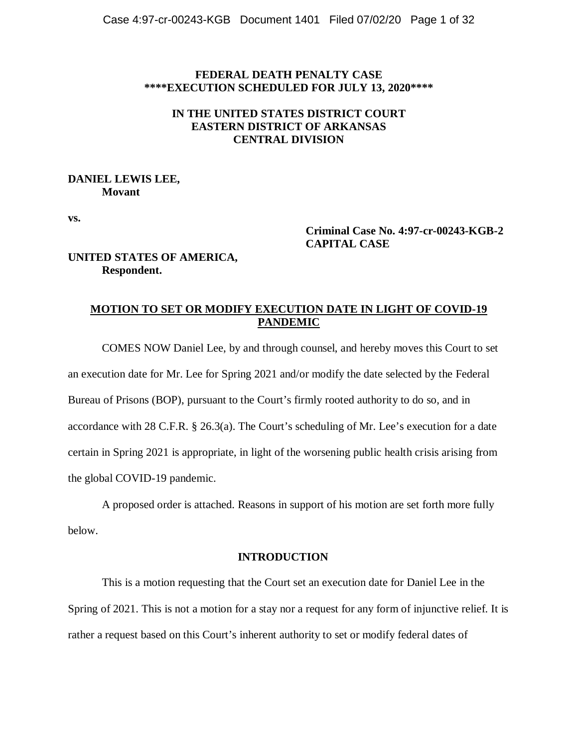## **FEDERAL DEATH PENALTY CASE \*\*\*\*EXECUTION SCHEDULED FOR JULY 13, 2020\*\*\*\***

# **IN THE UNITED STATES DISTRICT COURT EASTERN DISTRICT OF ARKANSAS CENTRAL DIVISION**

## **DANIEL LEWIS LEE, Movant**

**vs.**

# **Criminal Case No. 4:97-cr-00243-KGB-2 CAPITAL CASE**

# **UNITED STATES OF AMERICA, Respondent.**

# **MOTION TO SET OR MODIFY EXECUTION DATE IN LIGHT OF COVID-19 PANDEMIC**

COMES NOW Daniel Lee, by and through counsel, and hereby moves this Court to set an execution date for Mr. Lee for Spring 2021 and/or modify the date selected by the Federal Bureau of Prisons (BOP), pursuant to the Court's firmly rooted authority to do so, and in accordance with 28 C.F.R. § 26.3(a). The Court's scheduling of Mr. Lee's execution for a date certain in Spring 2021 is appropriate, in light of the worsening public health crisis arising from the global COVID-19 pandemic.

A proposed order is attached. Reasons in support of his motion are set forth more fully below.

## **INTRODUCTION**

This is a motion requesting that the Court set an execution date for Daniel Lee in the Spring of 2021. This is not a motion for a stay nor a request for any form of injunctive relief. It is rather a request based on this Court's inherent authority to set or modify federal dates of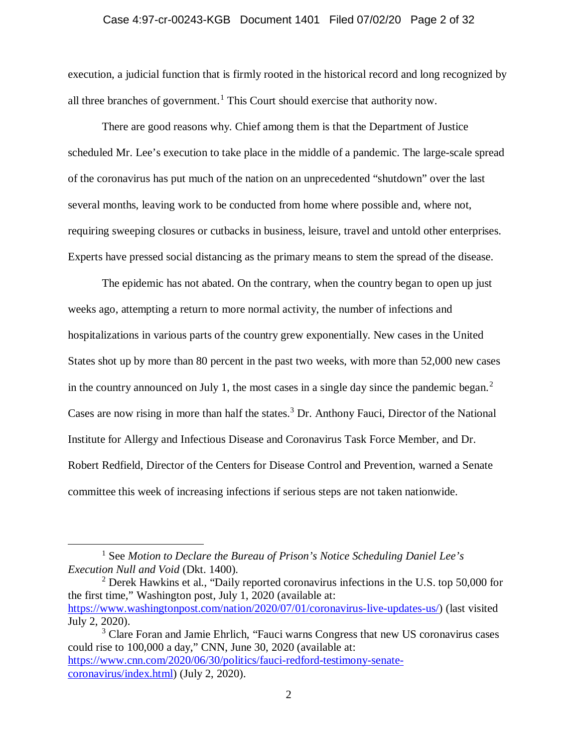#### Case 4:97-cr-00243-KGB Document 1401 Filed 07/02/20 Page 2 of 32

execution, a judicial function that is firmly rooted in the historical record and long recognized by all three branches of government.<sup>[1](#page-1-0)</sup> This Court should exercise that authority now.

There are good reasons why. Chief among them is that the Department of Justice scheduled Mr. Lee's execution to take place in the middle of a pandemic. The large-scale spread of the coronavirus has put much of the nation on an unprecedented "shutdown" over the last several months, leaving work to be conducted from home where possible and, where not, requiring sweeping closures or cutbacks in business, leisure, travel and untold other enterprises. Experts have pressed social distancing as the primary means to stem the spread of the disease.

The epidemic has not abated. On the contrary, when the country began to open up just weeks ago, attempting a return to more normal activity, the number of infections and hospitalizations in various parts of the country grew exponentially. New cases in the United States shot up by more than 80 percent in the past two weeks, with more than 52,000 new cases in the country announced on July 1, the most cases in a single day since the pandemic began.<sup>[2](#page-1-1)</sup> Cases are now rising in more than half the states.<sup>[3](#page-1-2)</sup> Dr. Anthony Fauci, Director of the National Institute for Allergy and Infectious Disease and Coronavirus Task Force Member, and Dr. Robert Redfield, Director of the Centers for Disease Control and Prevention, warned a Senate committee this week of increasing infections if serious steps are not taken nationwide.

<span id="page-1-0"></span> <sup>1</sup> See *Motion to Declare the Bureau of Prison's Notice Scheduling Daniel Lee's Execution Null and Void* (Dkt. 1400).

<span id="page-1-1"></span><sup>&</sup>lt;sup>2</sup> Derek Hawkins et al., "Daily reported coronavirus infections in the U.S. top 50,000 for the first time*,*" Washington post, July 1, 2020 (available at: [https://www.washingtonpost.com/nation/2020/07/01/coronavirus-live-updates-us/\)](https://www.washingtonpost.com/nation/2020/07/01/coronavirus-live-updates-us/) (last visited July 2, 2020).

<span id="page-1-2"></span><sup>&</sup>lt;sup>3</sup> Clare Foran and Jamie Ehrlich, "Fauci warns Congress that new US coronavirus cases could rise to 100,000 a day," CNN, June 30, 2020 (available at: [https://www.cnn.com/2020/06/30/politics/fauci-redford-testimony-senate-](https://www.cnn.com/2020/06/30/politics/fauci-redford-testimony-senate-coronavirus/index.html)

[coronavirus/index.html\)](https://www.cnn.com/2020/06/30/politics/fauci-redford-testimony-senate-coronavirus/index.html) (July 2, 2020).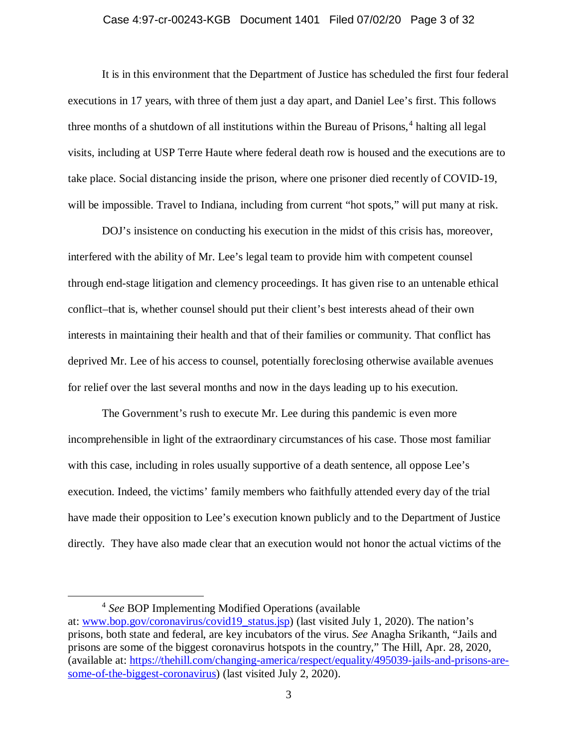#### Case 4:97-cr-00243-KGB Document 1401 Filed 07/02/20 Page 3 of 32

It is in this environment that the Department of Justice has scheduled the first four federal executions in 17 years, with three of them just a day apart, and Daniel Lee's first. This follows three months of a shutdown of all institutions within the Bureau of Prisons, $4$  halting all legal visits, including at USP Terre Haute where federal death row is housed and the executions are to take place. Social distancing inside the prison, where one prisoner died recently of COVID-19, will be impossible. Travel to Indiana, including from current "hot spots," will put many at risk.

DOJ's insistence on conducting his execution in the midst of this crisis has, moreover, interfered with the ability of Mr. Lee's legal team to provide him with competent counsel through end-stage litigation and clemency proceedings. It has given rise to an untenable ethical conflict–that is, whether counsel should put their client's best interests ahead of their own interests in maintaining their health and that of their families or community. That conflict has deprived Mr. Lee of his access to counsel, potentially foreclosing otherwise available avenues for relief over the last several months and now in the days leading up to his execution.

The Government's rush to execute Mr. Lee during this pandemic is even more incomprehensible in light of the extraordinary circumstances of his case. Those most familiar with this case, including in roles usually supportive of a death sentence, all oppose Lee's execution. Indeed, the victims' family members who faithfully attended every day of the trial have made their opposition to Lee's execution known publicly and to the Department of Justice directly. They have also made clear that an execution would not honor the actual victims of the

 <sup>4</sup> *See* BOP Implementing Modified Operations (available

<span id="page-2-0"></span>at: [www.bop.gov/coronavirus/covid19\\_status.jsp\)](http://www.bop.gov/coronavirus/covid19_status.jsp) (last visited July 1, 2020). The nation's prisons, both state and federal, are key incubators of the virus. *See* Anagha Srikanth, "Jails and prisons are some of the biggest coronavirus hotspots in the country," The Hill, Apr. 28, 2020, (available at: [https://thehill.com/changing-america/respect/equality/495039-jails-and-prisons-are](https://thehill.com/changing-america/respect/equality/495039-jails-and-prisons-are-some-of-the-biggest-coronavirus)[some-of-the-biggest-coronavirus\)](https://thehill.com/changing-america/respect/equality/495039-jails-and-prisons-are-some-of-the-biggest-coronavirus) (last visited July 2, 2020).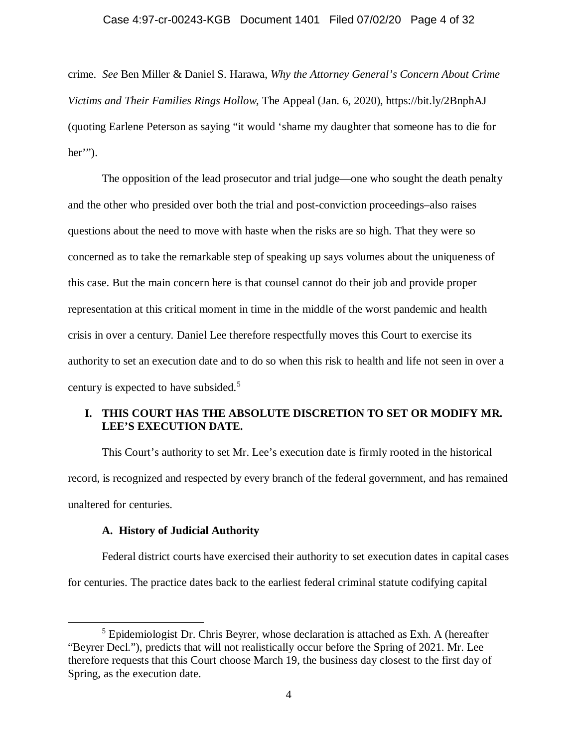## Case 4:97-cr-00243-KGB Document 1401 Filed 07/02/20 Page 4 of 32

crime. *See* Ben Miller & Daniel S. Harawa, *Why the Attorney General's Concern About Crime Victims and Their Families Rings Hollow,* The Appeal (Jan. 6, 2020), https://bit.ly/2BnphAJ (quoting Earlene Peterson as saying "it would 'shame my daughter that someone has to die for her").

The opposition of the lead prosecutor and trial judge—one who sought the death penalty and the other who presided over both the trial and post-conviction proceedings–also raises questions about the need to move with haste when the risks are so high. That they were so concerned as to take the remarkable step of speaking up says volumes about the uniqueness of this case. But the main concern here is that counsel cannot do their job and provide proper representation at this critical moment in time in the middle of the worst pandemic and health crisis in over a century. Daniel Lee therefore respectfully moves this Court to exercise its authority to set an execution date and to do so when this risk to health and life not seen in over a century is expected to have subsided.<sup>[5](#page-3-0)</sup>

# **I. THIS COURT HAS THE ABSOLUTE DISCRETION TO SET OR MODIFY MR. LEE'S EXECUTION DATE.**

This Court's authority to set Mr. Lee's execution date is firmly rooted in the historical record, is recognized and respected by every branch of the federal government, and has remained unaltered for centuries.

## **A. History of Judicial Authority**

Federal district courts have exercised their authority to set execution dates in capital cases for centuries. The practice dates back to the earliest federal criminal statute codifying capital

<span id="page-3-0"></span> $<sup>5</sup>$  Epidemiologist Dr. Chris Beyrer, whose declaration is attached as Exh. A (hereafter</sup> "Beyrer Decl."), predicts that will not realistically occur before the Spring of 2021. Mr. Lee therefore requests that this Court choose March 19, the business day closest to the first day of Spring, as the execution date.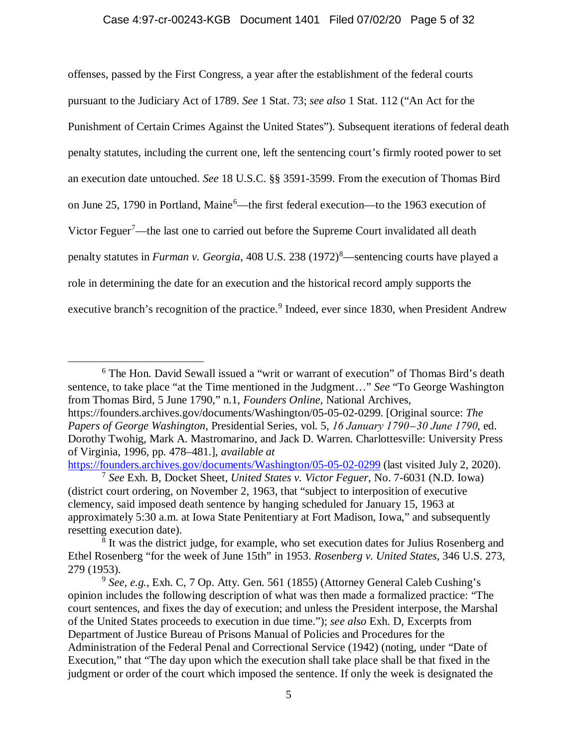### Case 4:97-cr-00243-KGB Document 1401 Filed 07/02/20 Page 5 of 32

offenses, passed by the First Congress, a year after the establishment of the federal courts pursuant to the Judiciary Act of 1789. *See* 1 Stat. 73; *see also* 1 Stat. 112 ("An Act for the Punishment of Certain Crimes Against the United States")*.* Subsequent iterations of federal death penalty statutes, including the current one, left the sentencing court's firmly rooted power to set an execution date untouched. *See* 18 U.S.C. §§ 3591-3599. From the execution of Thomas Bird on June 25, 1790 in Portland, Maine<sup>[6](#page-4-0)</sup>—the first federal execution—to the 1963 execution of Victor Feguer<sup>[7](#page-4-1)</sup>—the last one to carried out before the Supreme Court invalidated all death penalty statutes in *Furman v. Georgia*, 40[8](#page-4-2) U.S. 238 (1972)<sup>8</sup>—sentencing courts have played a role in determining the date for an execution and the historical record amply supports the executive branch's recognition of the practice.<sup>[9](#page-4-3)</sup> Indeed, ever since 1830, when President Andrew

of Virginia, 1996, pp. 478–481.], *available at*  <https://founders.archives.gov/documents/Washington/05-05-02-0299> (last visited July 2, 2020). <sup>7</sup> *See* Exh. B, Docket Sheet, *United States v. Victor Feguer*, No. 7-6031 (N.D. Iowa)

<span id="page-4-0"></span><sup>&</sup>lt;sup>6</sup> The Hon. David Sewall issued a "writ or warrant of execution" of Thomas Bird's death sentence, to take place "at the Time mentioned in the Judgment…" *See* "To George Washington from Thomas Bird, 5 June 1790," n.1, *Founders Online,* National Archives, https://founders.archives.gov/documents/Washington/05-05-02-0299. [Original source: *The Papers of George Washington*, Presidential Series, vol. 5, *16 January 1790 – 30 June 1790*, ed. Dorothy Twohig, Mark A. Mastromarino, and Jack D. Warren. Charlottesville: University Press

<span id="page-4-1"></span><sup>(</sup>district court ordering, on November 2, 1963, that "subject to interposition of executive clemency, said imposed death sentence by hanging scheduled for January 15, 1963 at approximately 5:30 a.m. at Iowa State Penitentiary at Fort Madison, Iowa," and subsequently resetting execution date).

<span id="page-4-2"></span><sup>&</sup>lt;sup>8</sup> It was the district judge, for example, who set execution dates for Julius Rosenberg and Ethel Rosenberg "for the week of June 15th" in 1953. *Rosenberg v. United States*, 346 U.S. 273, 279 (1953).

<span id="page-4-3"></span><sup>9</sup> *See, e.g.,* Exh. C, 7 Op. Atty. Gen. 561 (1855) (Attorney General Caleb Cushing's opinion includes the following description of what was then made a formalized practice: "The court sentences, and fixes the day of execution; and unless the President interpose, the Marshal of the United States proceeds to execution in due time."); *see also* Exh. D, Excerpts from Department of Justice Bureau of Prisons Manual of Policies and Procedures for the Administration of the Federal Penal and Correctional Service (1942) (noting, under "Date of Execution," that "The day upon which the execution shall take place shall be that fixed in the judgment or order of the court which imposed the sentence. If only the week is designated the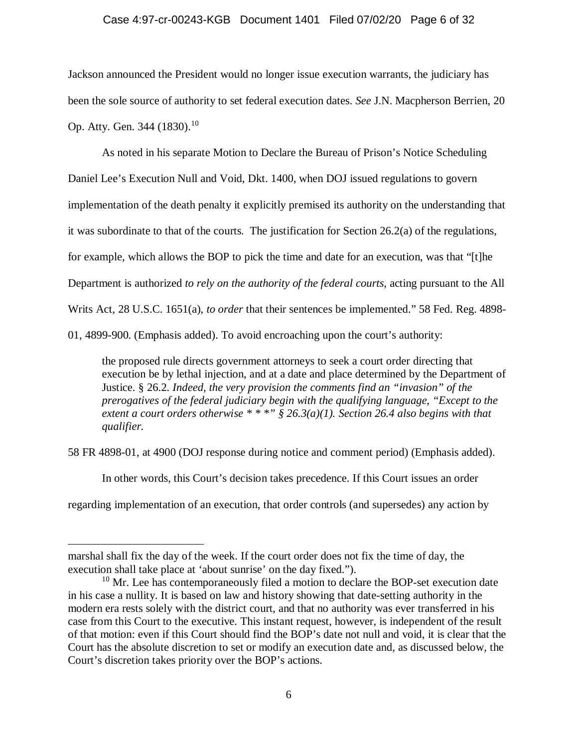## Case 4:97-cr-00243-KGB Document 1401 Filed 07/02/20 Page 6 of 32

Jackson announced the President would no longer issue execution warrants, the judiciary has been the sole source of authority to set federal execution dates. *See* J.N. Macpherson Berrien, 20 Op. Atty. Gen. 344 (1830).<sup>[10](#page-5-0)</sup>

As noted in his separate Motion to Declare the Bureau of Prison's Notice Scheduling Daniel Lee's Execution Null and Void, Dkt. 1400, when DOJ issued regulations to govern implementation of the death penalty it explicitly premised its authority on the understanding that it was subordinate to that of the courts. The justification for Section 26.2(a) of the regulations, for example, which allows the BOP to pick the time and date for an execution, was that "[t]he Department is authorized *to rely on the authority of the federal courts*, acting pursuant to the All Writs Act, 28 U.S.C. 1651(a), *to order* that their sentences be implemented." 58 Fed. Reg. 4898- 01, 4899-900. (Emphasis added). To avoid encroaching upon the court's authority:

the proposed rule directs government attorneys to seek a court order directing that execution be by lethal injection, and at a date and place determined by the Department of Justice. § 26.2*. Indeed, the very provision the comments find an "invasion" of the prerogatives of the federal judiciary begin with the qualifying language, "Except to the extent a court orders otherwise \* \* \*" § 26.3(a)(1). Section 26.4 also begins with that qualifier.*

58 FR 4898-01, at 4900 (DOJ response during notice and comment period) (Emphasis added).

In other words, this Court's decision takes precedence. If this Court issues an order regarding implementation of an execution, that order controls (and supersedes) any action by

 $\overline{a}$ 

marshal shall fix the day of the week. If the court order does not fix the time of day, the execution shall take place at 'about sunrise' on the day fixed.").

<span id="page-5-0"></span> $10$  Mr. Lee has contemporaneously filed a motion to declare the BOP-set execution date in his case a nullity. It is based on law and history showing that date-setting authority in the modern era rests solely with the district court, and that no authority was ever transferred in his case from this Court to the executive. This instant request, however, is independent of the result of that motion: even if this Court should find the BOP's date not null and void, it is clear that the Court has the absolute discretion to set or modify an execution date and, as discussed below, the Court's discretion takes priority over the BOP's actions.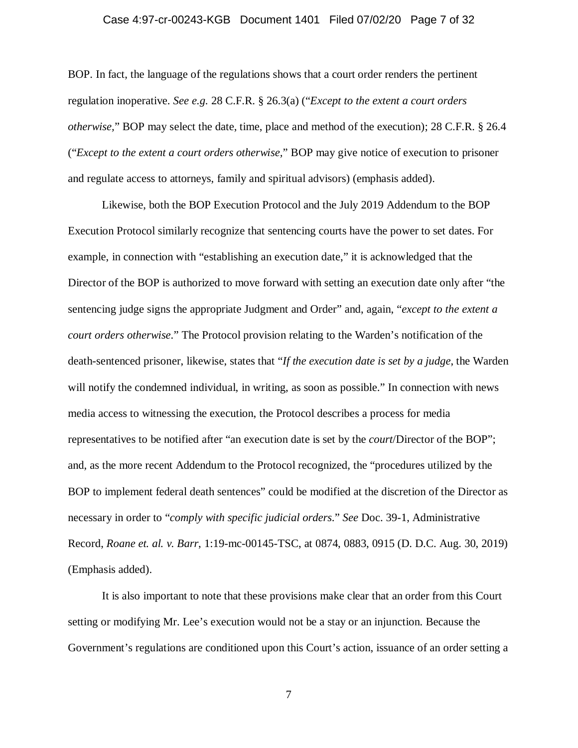## Case 4:97-cr-00243-KGB Document 1401 Filed 07/02/20 Page 7 of 32

BOP. In fact, the language of the regulations shows that a court order renders the pertinent regulation inoperative. *See e.g.* 28 C.F.R. § 26.3(a) ("*Except to the extent a court orders otherwise,*" BOP may select the date, time, place and method of the execution); 28 C.F.R. § 26.4 ("*Except to the extent a court orders otherwise,*" BOP may give notice of execution to prisoner and regulate access to attorneys, family and spiritual advisors) (emphasis added).

Likewise, both the BOP Execution Protocol and the July 2019 Addendum to the BOP Execution Protocol similarly recognize that sentencing courts have the power to set dates. For example, in connection with "establishing an execution date," it is acknowledged that the Director of the BOP is authorized to move forward with setting an execution date only after "the sentencing judge signs the appropriate Judgment and Order" and, again, "*except to the extent a court orders otherwise*." The Protocol provision relating to the Warden's notification of the death-sentenced prisoner, likewise, states that "*If the execution date is set by a judge*, the Warden will notify the condemned individual, in writing, as soon as possible." In connection with news media access to witnessing the execution, the Protocol describes a process for media representatives to be notified after "an execution date is set by the *court*/Director of the BOP"; and, as the more recent Addendum to the Protocol recognized, the "procedures utilized by the BOP to implement federal death sentences" could be modified at the discretion of the Director as necessary in order to "*comply with specific judicial orders*." *See* Doc. 39-1, Administrative Record, *Roane et. al. v. Barr*, 1:19-mc-00145-TSC, at 0874, 0883, 0915 (D. D.C. Aug. 30, 2019) (Emphasis added).

It is also important to note that these provisions make clear that an order from this Court setting or modifying Mr. Lee's execution would not be a stay or an injunction. Because the Government's regulations are conditioned upon this Court's action, issuance of an order setting a

7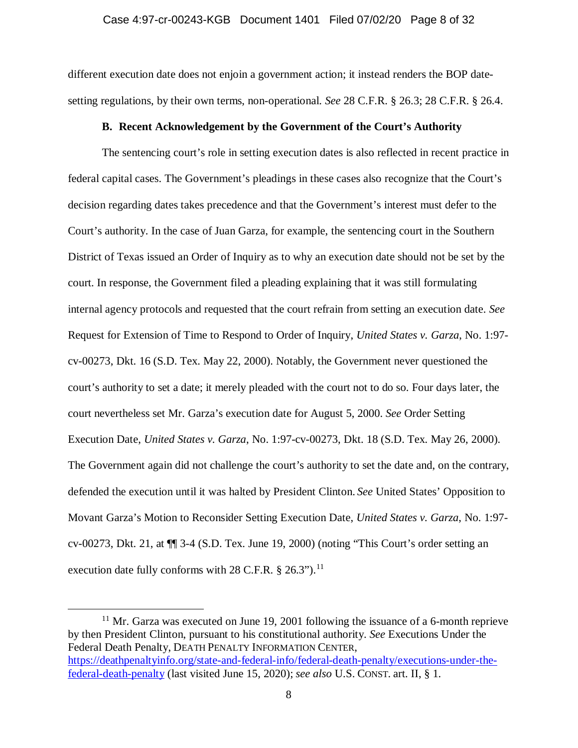different execution date does not enjoin a government action; it instead renders the BOP datesetting regulations, by their own terms, non-operational. *See* 28 C.F.R. § 26.3; 28 C.F.R. § 26.4.

### **B. Recent Acknowledgement by the Government of the Court's Authority**

The sentencing court's role in setting execution dates is also reflected in recent practice in federal capital cases. The Government's pleadings in these cases also recognize that the Court's decision regarding dates takes precedence and that the Government's interest must defer to the Court's authority. In the case of Juan Garza, for example, the sentencing court in the Southern District of Texas issued an Order of Inquiry as to why an execution date should not be set by the court. In response, the Government filed a pleading explaining that it was still formulating internal agency protocols and requested that the court refrain from setting an execution date. *See*  Request for Extension of Time to Respond to Order of Inquiry, *United States v. Garza*, No. 1:97 cv-00273, Dkt. 16 (S.D. Tex. May 22, 2000). Notably, the Government never questioned the court's authority to set a date; it merely pleaded with the court not to do so. Four days later, the court nevertheless set Mr. Garza's execution date for August 5, 2000. *See* Order Setting Execution Date, *United States v. Garza*, No. 1:97-cv-00273, Dkt. 18 (S.D. Tex. May 26, 2000). The Government again did not challenge the court's authority to set the date and, on the contrary, defended the execution until it was halted by President Clinton. *See* United States' Opposition to Movant Garza's Motion to Reconsider Setting Execution Date, *United States v. Garza*, No. 1:97 cv-00273, Dkt. 21, at ¶¶ 3-4 (S.D. Tex. June 19, 2000) (noting "This Court's order setting an execution date fully conforms with 28 C.F.R.  $\S$  26.3").<sup>[11](#page-7-0)</sup>

<span id="page-7-0"></span> $11$  Mr. Garza was executed on June 19, 2001 following the issuance of a 6-month reprieve by then President Clinton, pursuant to his constitutional authority. *See* Executions Under the Federal Death Penalty, DEATH PENALTY INFORMATION CENTER, [https://deathpenaltyinfo.org/state-and-federal-info/federal-death-penalty/executions-under-the](https://deathpenaltyinfo.org/state-and-federal-info/federal-death-penalty/executions-under-the-federal-death-penalty)[federal-death-penalty](https://deathpenaltyinfo.org/state-and-federal-info/federal-death-penalty/executions-under-the-federal-death-penalty) (last visited June 15, 2020); *see also* U.S. CONST. art. II, § 1.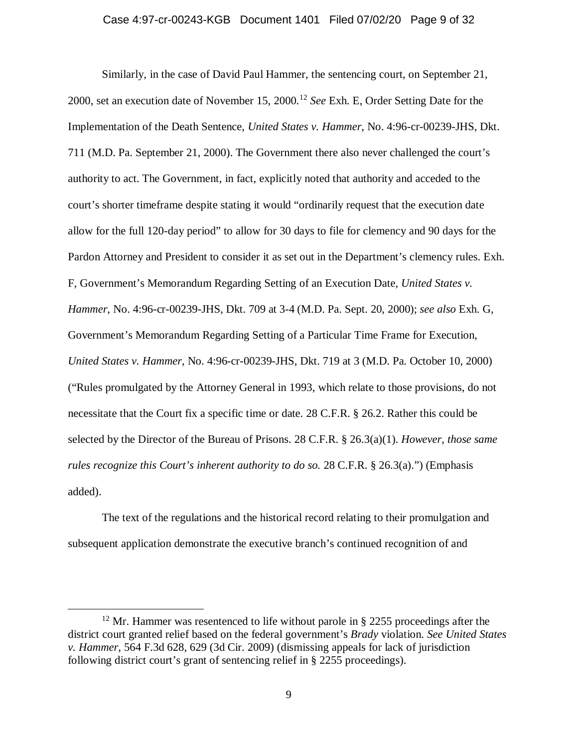#### Case 4:97-cr-00243-KGB Document 1401 Filed 07/02/20 Page 9 of 32

Similarly, in the case of David Paul Hammer, the sentencing court, on September 21, 2000, set an execution date of November 15, 2000.[12](#page-8-0) *See* Exh. E, Order Setting Date for the Implementation of the Death Sentence, *United States v. Hammer*, No. 4:96-cr-00239-JHS, Dkt. 711 (M.D. Pa. September 21, 2000). The Government there also never challenged the court's authority to act. The Government, in fact, explicitly noted that authority and acceded to the court's shorter timeframe despite stating it would "ordinarily request that the execution date allow for the full 120-day period" to allow for 30 days to file for clemency and 90 days for the Pardon Attorney and President to consider it as set out in the Department's clemency rules. Exh. F, Government's Memorandum Regarding Setting of an Execution Date, *United States v. Hammer*, No. 4:96-cr-00239-JHS, Dkt. 709 at 3-4 (M.D. Pa. Sept. 20, 2000); *see also* Exh. G, Government's Memorandum Regarding Setting of a Particular Time Frame for Execution, *United States v. Hammer*, No. 4:96-cr-00239-JHS, Dkt. 719 at 3 (M.D. Pa. October 10, 2000) ("Rules promulgated by the Attorney General in 1993, which relate to those provisions, do not necessitate that the Court fix a specific time or date. 28 C.F.R. § 26.2. Rather this could be selected by the Director of the Bureau of Prisons. 28 C.F.R. § 26.3(a)(1). *However, those same rules recognize this Court's inherent authority to do so.* 28 C.F.R. § 26.3(a).") (Emphasis added).

The text of the regulations and the historical record relating to their promulgation and subsequent application demonstrate the executive branch's continued recognition of and

<span id="page-8-0"></span><sup>&</sup>lt;sup>12</sup> Mr. Hammer was resentenced to life without parole in § 2255 proceedings after the district court granted relief based on the federal government's *Brady* violation. *See United States v. Hammer*, 564 F.3d 628, 629 (3d Cir. 2009) (dismissing appeals for lack of jurisdiction following district court's grant of sentencing relief in § 2255 proceedings).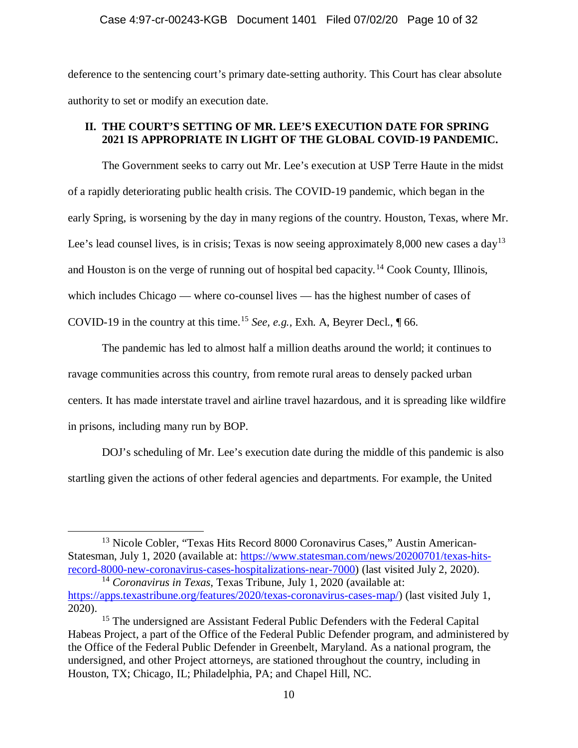deference to the sentencing court's primary date-setting authority. This Court has clear absolute authority to set or modify an execution date.

# **II. THE COURT'S SETTING OF MR. LEE'S EXECUTION DATE FOR SPRING 2021 IS APPROPRIATE IN LIGHT OF THE GLOBAL COVID-19 PANDEMIC.**

The Government seeks to carry out Mr. Lee's execution at USP Terre Haute in the midst of a rapidly deteriorating public health crisis. The COVID-19 pandemic, which began in the early Spring, is worsening by the day in many regions of the country. Houston, Texas, where Mr. Lee's lead counsel lives, is in crisis; Texas is now seeing approximately  $8,000$  new cases a day<sup>[13](#page-9-0)</sup> and Houston is on the verge of running out of hospital bed capacity.<sup>[14](#page-9-1)</sup> Cook County, Illinois, which includes Chicago — where co-counsel lives — has the highest number of cases of COVID-19 in the country at this time.[15](#page-9-2) *See, e.g.,* Exh. A, Beyrer Decl., ¶ 66.

The pandemic has led to almost half a million deaths around the world; it continues to ravage communities across this country, from remote rural areas to densely packed urban centers. It has made interstate travel and airline travel hazardous, and it is spreading like wildfire in prisons, including many run by BOP.

DOJ's scheduling of Mr. Lee's execution date during the middle of this pandemic is also startling given the actions of other federal agencies and departments. For example, the United

<span id="page-9-0"></span> <sup>13</sup> Nicole Cobler, "Texas Hits Record 8000 Coronavirus Cases*,*" Austin American-Statesman, July 1, 2020 (available at: [https://www.statesman.com/news/20200701/texas-hits](https://www.statesman.com/news/20200701/texas-hits-record-8000-new-coronavirus-cases-hospitalizations-near-7000)[record-8000-new-coronavirus-cases-hospitalizations-near-7000\)](https://www.statesman.com/news/20200701/texas-hits-record-8000-new-coronavirus-cases-hospitalizations-near-7000) (last visited July 2, 2020).

<span id="page-9-1"></span><sup>14</sup> *Coronavirus in Texas*, Texas Tribune, July 1, 2020 (available at: [https://apps.texastribune.org/features/2020/texas-coronavirus-cases-map/\)](https://apps.texastribune.org/features/2020/texas-coronavirus-cases-map/) (last visited July 1, 2020).

<span id="page-9-2"></span><sup>&</sup>lt;sup>15</sup> The undersigned are Assistant Federal Public Defenders with the Federal Capital Habeas Project, a part of the Office of the Federal Public Defender program, and administered by the Office of the Federal Public Defender in Greenbelt, Maryland. As a national program, the undersigned, and other Project attorneys, are stationed throughout the country, including in Houston, TX; Chicago, IL; Philadelphia, PA; and Chapel Hill, NC.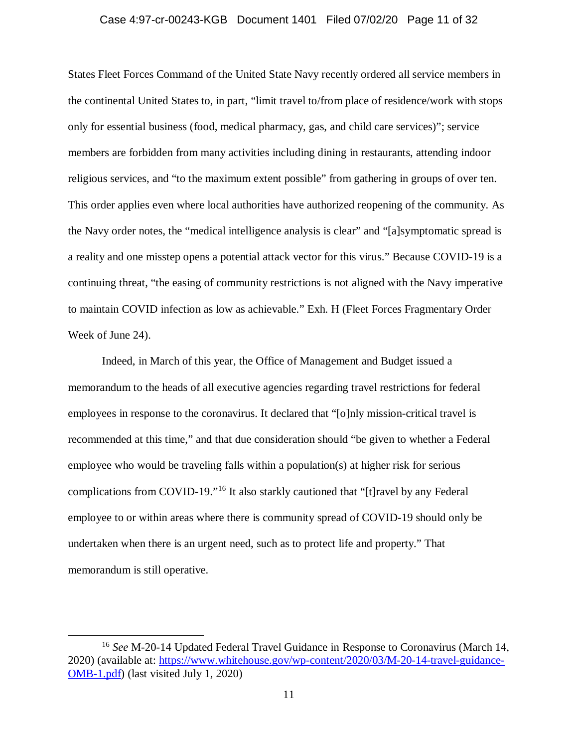#### Case 4:97-cr-00243-KGB Document 1401 Filed 07/02/20 Page 11 of 32

States Fleet Forces Command of the United State Navy recently ordered all service members in the continental United States to, in part, "limit travel to/from place of residence/work with stops only for essential business (food, medical pharmacy, gas, and child care services)"; service members are forbidden from many activities including dining in restaurants, attending indoor religious services, and "to the maximum extent possible" from gathering in groups of over ten. This order applies even where local authorities have authorized reopening of the community. As the Navy order notes, the "medical intelligence analysis is clear" and "[a]symptomatic spread is a reality and one misstep opens a potential attack vector for this virus." Because COVID-19 is a continuing threat, "the easing of community restrictions is not aligned with the Navy imperative to maintain COVID infection as low as achievable." Exh. H (Fleet Forces Fragmentary Order Week of June 24).

Indeed, in March of this year, the Office of Management and Budget issued a memorandum to the heads of all executive agencies regarding travel restrictions for federal employees in response to the coronavirus. It declared that "[o]nly mission-critical travel is recommended at this time," and that due consideration should "be given to whether a Federal employee who would be traveling falls within a population(s) at higher risk for serious complications from COVID-19."[16](#page-10-0) It also starkly cautioned that "[t]ravel by any Federal employee to or within areas where there is community spread of COVID-19 should only be undertaken when there is an urgent need, such as to protect life and property." That memorandum is still operative.

<span id="page-10-0"></span> <sup>16</sup> *See* M-20-14 Updated Federal Travel Guidance in Response to Coronavirus (March 14, 2020) (available at: [https://www.whitehouse.gov/wp-content/2020/03/M-20-14-travel-guidance-](https://www.whitehouse.gov/wp-content/2020/03/M-20-14-travel-guidance-OMB-1.pdf)[OMB-1.pdf\)](https://www.whitehouse.gov/wp-content/2020/03/M-20-14-travel-guidance-OMB-1.pdf) (last visited July 1, 2020)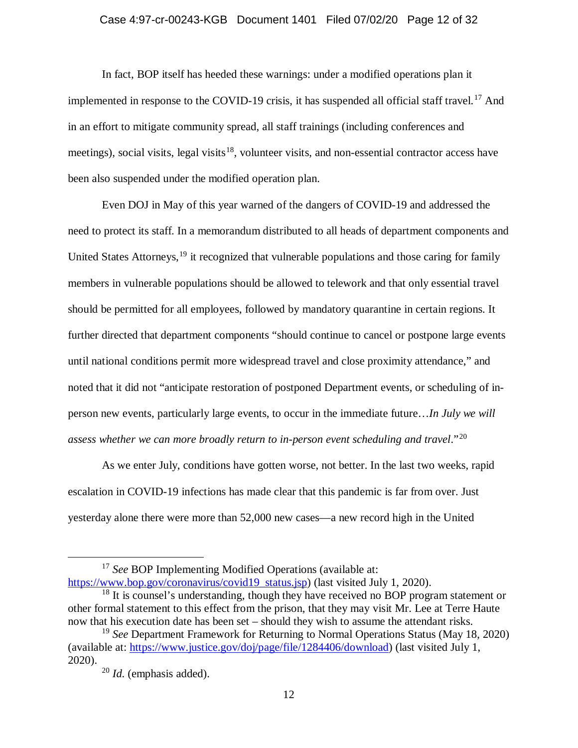#### Case 4:97-cr-00243-KGB Document 1401 Filed 07/02/20 Page 12 of 32

In fact, BOP itself has heeded these warnings: under a modified operations plan it implemented in response to the COVID-19 crisis, it has suspended all official staff travel.<sup>[17](#page-11-0)</sup> And in an effort to mitigate community spread, all staff trainings (including conferences and meetings), social visits, legal visits<sup>18</sup>, volunteer visits, and non-essential contractor access have been also suspended under the modified operation plan.

Even DOJ in May of this year warned of the dangers of COVID-19 and addressed the need to protect its staff. In a memorandum distributed to all heads of department components and United States Attorneys,<sup>[19](#page-11-2)</sup> it recognized that vulnerable populations and those caring for family members in vulnerable populations should be allowed to telework and that only essential travel should be permitted for all employees, followed by mandatory quarantine in certain regions. It further directed that department components "should continue to cancel or postpone large events until national conditions permit more widespread travel and close proximity attendance," and noted that it did not "anticipate restoration of postponed Department events, or scheduling of inperson new events, particularly large events, to occur in the immediate future…*In July we will*  assess whether we can more broadly return to in-person event scheduling and travel."<sup>[20](#page-11-3)</sup>

As we enter July, conditions have gotten worse, not better. In the last two weeks, rapid escalation in COVID-19 infections has made clear that this pandemic is far from over. Just yesterday alone there were more than 52,000 new cases—a new record high in the United

<span id="page-11-0"></span><sup>&</sup>lt;sup>17</sup> *See* BOP Implementing Modified Operations (available at: [https://www.bop.gov/coronavirus/covid19\\_status.jsp\)](https://www.bop.gov/coronavirus/covid19_status.jsp) (last visited July 1, 2020).

<span id="page-11-1"></span> $18$  It is counsel's understanding, though they have received no BOP program statement or other formal statement to this effect from the prison, that they may visit Mr. Lee at Terre Haute now that his execution date has been set – should they wish to assume the attendant risks.

<span id="page-11-3"></span><span id="page-11-2"></span><sup>19</sup> *See* Department Framework for Returning to Normal Operations Status (May 18, 2020) (available at: [https://www.justice.gov/doj/page/file/1284406/download\)](https://www.justice.gov/doj/page/file/1284406/download) (last visited July 1, 2020).

<sup>20</sup> *Id.* (emphasis added).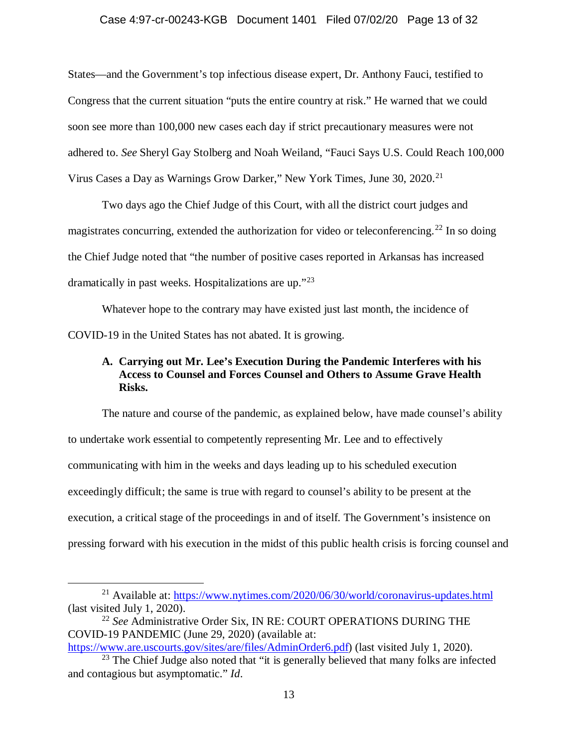#### Case 4:97-cr-00243-KGB Document 1401 Filed 07/02/20 Page 13 of 32

States—and the Government's top infectious disease expert, Dr. Anthony Fauci, testified to Congress that the current situation "puts the entire country at risk." He warned that we could soon see more than 100,000 new cases each day if strict precautionary measures were not adhered to. *See* Sheryl Gay Stolberg and Noah Weiland, "Fauci Says U.S. Could Reach 100,000 Virus Cases a Day as Warnings Grow Darker," New York Times, June 30, 2020.[21](#page-12-0)

Two days ago the Chief Judge of this Court, with all the district court judges and magistrates concurring, extended the authorization for video or teleconferencing.<sup>[22](#page-12-1)</sup> In so doing the Chief Judge noted that "the number of positive cases reported in Arkansas has increased dramatically in past weeks. Hospitalizations are up."[23](#page-12-2)

Whatever hope to the contrary may have existed just last month, the incidence of COVID-19 in the United States has not abated. It is growing.

# **A. Carrying out Mr. Lee's Execution During the Pandemic Interferes with his Access to Counsel and Forces Counsel and Others to Assume Grave Health Risks.**

The nature and course of the pandemic, as explained below, have made counsel's ability to undertake work essential to competently representing Mr. Lee and to effectively communicating with him in the weeks and days leading up to his scheduled execution exceedingly difficult; the same is true with regard to counsel's ability to be present at the execution, a critical stage of the proceedings in and of itself. The Government's insistence on pressing forward with his execution in the midst of this public health crisis is forcing counsel and

<span id="page-12-0"></span><sup>&</sup>lt;sup>21</sup> Available at:<https://www.nytimes.com/2020/06/30/world/coronavirus-updates.html> (last visited July 1, 2020).

<span id="page-12-1"></span><sup>22</sup> *See* Administrative Order Six, IN RE: COURT OPERATIONS DURING THE COVID-19 PANDEMIC (June 29, 2020) (available at:

[https://www.are.uscourts.gov/sites/are/files/AdminOrder6.pdf\)](https://www.are.uscourts.gov/sites/are/files/AdminOrder6.pdf) (last visited July 1, 2020).

<span id="page-12-2"></span> $23$  The Chief Judge also noted that "it is generally believed that many folks are infected and contagious but asymptomatic." *Id*.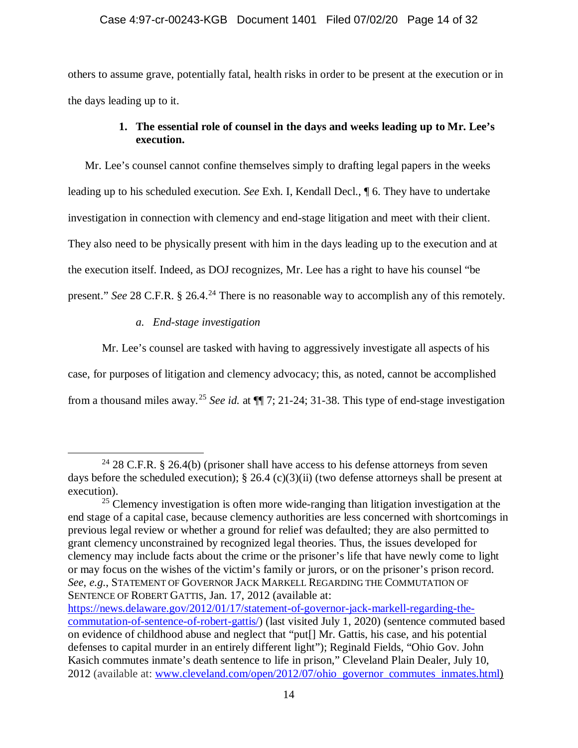## Case 4:97-cr-00243-KGB Document 1401 Filed 07/02/20 Page 14 of 32

others to assume grave, potentially fatal, health risks in order to be present at the execution or in the days leading up to it.

# **1. The essential role of counsel in the days and weeks leading up to Mr. Lee's execution.**

Mr. Lee's counsel cannot confine themselves simply to drafting legal papers in the weeks leading up to his scheduled execution. *See* Exh. I, Kendall Decl., ¶ 6. They have to undertake investigation in connection with clemency and end-stage litigation and meet with their client. They also need to be physically present with him in the days leading up to the execution and at the execution itself. Indeed, as DOJ recognizes, Mr. Lee has a right to have his counsel "be present." *See* 28 C.F.R. § 26.4.<sup>[24](#page-13-0)</sup> There is no reasonable way to accomplish any of this remotely.

# *a. End-stage investigation*

Mr. Lee's counsel are tasked with having to aggressively investigate all aspects of his case, for purposes of litigation and clemency advocacy; this, as noted, cannot be accomplished from a thousand miles away. [25](#page-13-1) *See id.* at ¶¶ 7; 21-24; 31-38. This type of end-stage investigation

<span id="page-13-0"></span><sup>&</sup>lt;sup>24</sup> 28 C.F.R. § 26.4(b) (prisoner shall have access to his defense attorneys from seven days before the scheduled execution); § 26.4 (c)(3)(ii) (two defense attorneys shall be present at execution).

<span id="page-13-1"></span> $25$  Clemency investigation is often more wide-ranging than litigation investigation at the end stage of a capital case, because clemency authorities are less concerned with shortcomings in previous legal review or whether a ground for relief was defaulted; they are also permitted to grant clemency unconstrained by recognized legal theories. Thus, the issues developed for clemency may include facts about the crime or the prisoner's life that have newly come to light or may focus on the wishes of the victim's family or jurors, or on the prisoner's prison record. *See*, *e.g.*, STATEMENT OF GOVERNOR JACK MARKELL REGARDING THE COMMUTATION OF SENTENCE OF ROBERT GATTIS, Jan. 17, 2012 (available at:

[https://news.delaware.gov/2012/01/17/statement-of-governor-jack-markell-regarding-the](https://news.delaware.gov/2012/01/17/statement-of-governor-jack-markell-regarding-the-commutation-of-sentence-of-robert-gattis/)[commutation-of-sentence-of-robert-gattis/\)](https://news.delaware.gov/2012/01/17/statement-of-governor-jack-markell-regarding-the-commutation-of-sentence-of-robert-gattis/) (last visited July 1, 2020) (sentence commuted based on evidence of childhood abuse and neglect that "put[] Mr. Gattis, his case, and his potential defenses to capital murder in an entirely different light"); Reginald Fields, "Ohio Gov. John Kasich commutes inmate's death sentence to life in prison," Cleveland Plain Dealer, July 10, 2012 (available at: [www.cleveland.com/open/2012/07/ohio\\_governor\\_commutes\\_inmates.html\)](http://www.cleveland.com/open/2012/07/ohio_governor_commutes_inmates.html)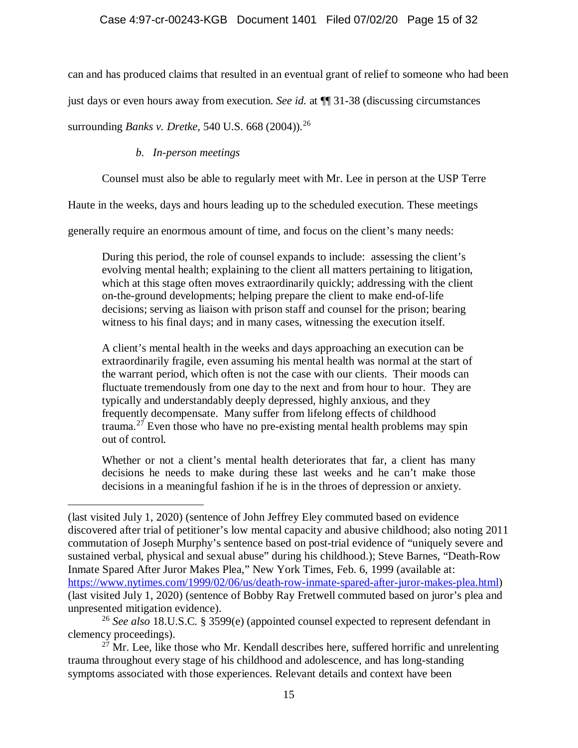can and has produced claims that resulted in an eventual grant of relief to someone who had been just days or even hours away from execution. *See id.* at ¶¶ 31-38 (discussing circumstances surrounding *Banks v. Dretke*, 540 U.S. 668 (2004)). [26](#page-14-0)

# *b. In-person meetings*

Counsel must also be able to regularly meet with Mr. Lee in person at the USP Terre

Haute in the weeks, days and hours leading up to the scheduled execution. These meetings

generally require an enormous amount of time, and focus on the client's many needs:

During this period, the role of counsel expands to include: assessing the client's evolving mental health; explaining to the client all matters pertaining to litigation, which at this stage often moves extraordinarily quickly; addressing with the client on-the-ground developments; helping prepare the client to make end-of-life decisions; serving as liaison with prison staff and counsel for the prison; bearing witness to his final days; and in many cases, witnessing the execution itself.

A client's mental health in the weeks and days approaching an execution can be extraordinarily fragile, even assuming his mental health was normal at the start of the warrant period, which often is not the case with our clients. Their moods can fluctuate tremendously from one day to the next and from hour to hour. They are typically and understandably deeply depressed, highly anxious, and they frequently decompensate. Many suffer from lifelong effects of childhood trauma.<sup>[27](#page-14-1)</sup> Even those who have no pre-existing mental health problems may spin out of control.

Whether or not a client's mental health deteriorates that far, a client has many decisions he needs to make during these last weeks and he can't make those decisions in a meaningful fashion if he is in the throes of depression or anxiety.

 $\overline{a}$ (last visited July 1, 2020) (sentence of John Jeffrey Eley commuted based on evidence discovered after trial of petitioner's low mental capacity and abusive childhood; also noting 2011 commutation of Joseph Murphy's sentence based on post-trial evidence of "uniquely severe and sustained verbal, physical and sexual abuse" during his childhood.); Steve Barnes, "Death-Row Inmate Spared After Juror Makes Plea," New York Times, Feb. 6, 1999 (available at: [https://www.nytimes.com/1999/02/06/us/death-row-inmate-spared-after-juror-makes-plea.html\)](https://www.nytimes.com/1999/02/06/us/death-row-inmate-spared-after-juror-makes-plea.html) (last visited July 1, 2020) (sentence of Bobby Ray Fretwell commuted based on juror's plea and unpresented mitigation evidence).

<span id="page-14-0"></span><sup>26</sup> *See also* 18.U.S.C. § 3599(e) (appointed counsel expected to represent defendant in clemency proceedings).

<span id="page-14-1"></span> $27$  Mr. Lee, like those who Mr. Kendall describes here, suffered horrific and unrelenting trauma throughout every stage of his childhood and adolescence, and has long-standing symptoms associated with those experiences. Relevant details and context have been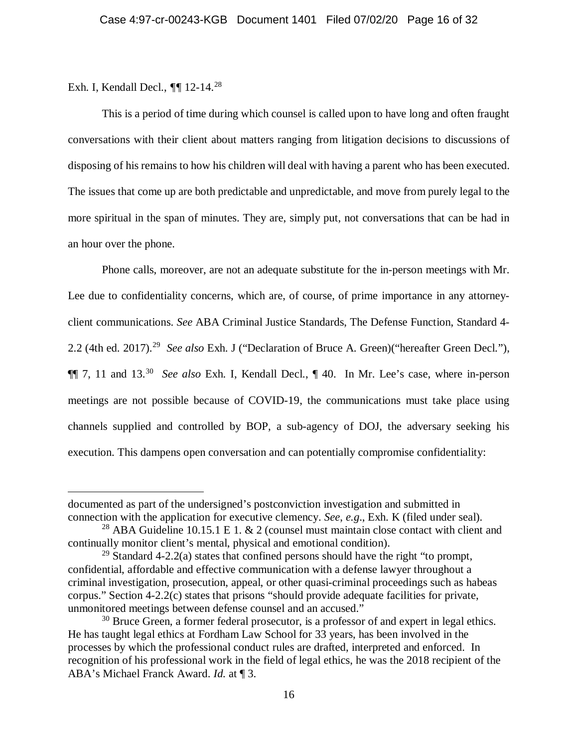# Exh. I, Kendall Decl., *¶¶* 12-14.[28](#page-15-0)

 $\overline{a}$ 

This is a period of time during which counsel is called upon to have long and often fraught conversations with their client about matters ranging from litigation decisions to discussions of disposing of his remains to how his children will deal with having a parent who has been executed. The issues that come up are both predictable and unpredictable, and move from purely legal to the more spiritual in the span of minutes. They are, simply put, not conversations that can be had in an hour over the phone.

Phone calls, moreover, are not an adequate substitute for the in-person meetings with Mr. Lee due to confidentiality concerns, which are, of course, of prime importance in any attorneyclient communications. *See* ABA Criminal Justice Standards, The Defense Function, Standard 4- 2.2 (4th ed. 2017).[29](#page-15-1) *See also* Exh. J ("Declaration of Bruce A. Green)("hereafter Green Decl."), ¶¶ 7, 11 and 13.[30](#page-15-2) *See also* Exh. I, Kendall Decl., ¶ 40. In Mr. Lee's case, where in-person meetings are not possible because of COVID-19, the communications must take place using channels supplied and controlled by BOP, a sub-agency of DOJ, the adversary seeking his execution. This dampens open conversation and can potentially compromise confidentiality:

documented as part of the undersigned's postconviction investigation and submitted in connection with the application for executive clemency. *See*, *e.g*., Exh. K (filed under seal).

<span id="page-15-0"></span><sup>&</sup>lt;sup>28</sup> ABA Guideline 10.15.1 E 1.  $\&$  2 (counsel must maintain close contact with client and continually monitor client's mental, physical and emotional condition).

<span id="page-15-1"></span><sup>&</sup>lt;sup>29</sup> Standard 4-2.2(a) states that confined persons should have the right "to prompt, confidential, affordable and effective communication with a defense lawyer throughout a criminal investigation, prosecution, appeal, or other quasi-criminal proceedings such as habeas corpus." Section 4-2.2(c) states that prisons "should provide adequate facilities for private, unmonitored meetings between defense counsel and an accused."

<span id="page-15-2"></span><sup>&</sup>lt;sup>30</sup> Bruce Green, a former federal prosecutor, is a professor of and expert in legal ethics. He has taught legal ethics at Fordham Law School for 33 years, has been involved in the processes by which the professional conduct rules are drafted, interpreted and enforced. In recognition of his professional work in the field of legal ethics, he was the 2018 recipient of the ABA's Michael Franck Award. *Id.* at ¶ 3.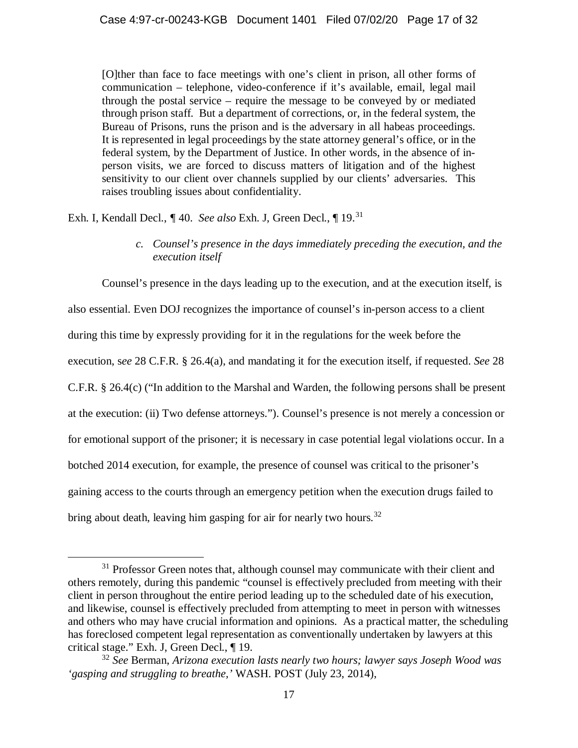[O]ther than face to face meetings with one's client in prison, all other forms of communication – telephone, video-conference if it's available, email, legal mail through the postal service – require the message to be conveyed by or mediated through prison staff. But a department of corrections, or, in the federal system, the Bureau of Prisons, runs the prison and is the adversary in all habeas proceedings. It is represented in legal proceedings by the state attorney general's office, or in the federal system, by the Department of Justice. In other words, in the absence of inperson visits, we are forced to discuss matters of litigation and of the highest sensitivity to our client over channels supplied by our clients' adversaries. This raises troubling issues about confidentiality.

Exh. I, Kendall Decl., *¶* 40. *See also* Exh. J, Green Decl., ¶ 19.[31](#page-16-0)

*c. Counsel's presence in the days immediately preceding the execution, and the execution itself*

Counsel's presence in the days leading up to the execution, and at the execution itself, is also essential. Even DOJ recognizes the importance of counsel's in-person access to a client during this time by expressly providing for it in the regulations for the week before the execution, s*ee* 28 C.F.R. § 26.4(a), and mandating it for the execution itself, if requested. *See* 28 C.F.R. § 26.4(c) ("In addition to the Marshal and Warden, the following persons shall be present at the execution: (ii) Two defense attorneys."). Counsel's presence is not merely a concession or for emotional support of the prisoner; it is necessary in case potential legal violations occur. In a botched 2014 execution, for example, the presence of counsel was critical to the prisoner's gaining access to the courts through an emergency petition when the execution drugs failed to bring about death, leaving him gasping for air for nearly two hours.<sup>[32](#page-16-1)</sup>

<span id="page-16-0"></span><sup>&</sup>lt;sup>31</sup> Professor Green notes that, although counsel may communicate with their client and others remotely, during this pandemic "counsel is effectively precluded from meeting with their client in person throughout the entire period leading up to the scheduled date of his execution, and likewise, counsel is effectively precluded from attempting to meet in person with witnesses and others who may have crucial information and opinions. As a practical matter, the scheduling has foreclosed competent legal representation as conventionally undertaken by lawyers at this critical stage." Exh. J, Green Decl., ¶ 19.

<span id="page-16-1"></span><sup>32</sup> *See* Berman, *Arizona execution lasts nearly two hours; lawyer says Joseph Wood was 'gasping and struggling to breathe,'* WASH. POST (July 23, 2014),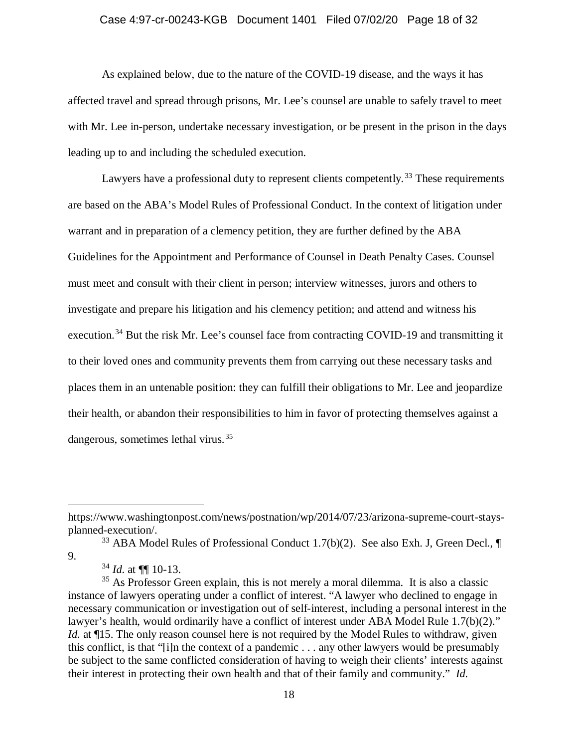### Case 4:97-cr-00243-KGB Document 1401 Filed 07/02/20 Page 18 of 32

As explained below, due to the nature of the COVID-19 disease, and the ways it has affected travel and spread through prisons, Mr. Lee's counsel are unable to safely travel to meet with Mr. Lee in-person, undertake necessary investigation, or be present in the prison in the days leading up to and including the scheduled execution.

Lawyers have a professional duty to represent clients competently.<sup>[33](#page-17-0)</sup> These requirements are based on the ABA's Model Rules of Professional Conduct. In the context of litigation under warrant and in preparation of a clemency petition, they are further defined by the ABA Guidelines for the Appointment and Performance of Counsel in Death Penalty Cases. Counsel must meet and consult with their client in person; interview witnesses, jurors and others to investigate and prepare his litigation and his clemency petition; and attend and witness his execution.<sup>[34](#page-17-1)</sup> But the risk Mr. Lee's counsel face from contracting COVID-19 and transmitting it to their loved ones and community prevents them from carrying out these necessary tasks and places them in an untenable position: they can fulfill their obligations to Mr. Lee and jeopardize their health, or abandon their responsibilities to him in favor of protecting themselves against a dangerous, sometimes lethal virus.<sup>[35](#page-17-2)</sup>

 $\overline{a}$ 

https://www.washingtonpost.com/news/postnation/wp/2014/07/23/arizona-supreme-court-staysplanned-execution/.

<span id="page-17-0"></span><sup>&</sup>lt;sup>33</sup> ABA Model Rules of Professional Conduct 1.7(b)(2). See also Exh. J, Green Decl.,  $\P$ 9.

 $34$  *Id.* at  $\P\P$  10-13.

<span id="page-17-2"></span><span id="page-17-1"></span><sup>&</sup>lt;sup>35</sup> As Professor Green explain, this is not merely a moral dilemma. It is also a classic instance of lawyers operating under a conflict of interest. "A lawyer who declined to engage in necessary communication or investigation out of self-interest, including a personal interest in the lawyer's health, would ordinarily have a conflict of interest under ABA Model Rule 1.7(b)(2)." *Id.* at ¶15. The only reason counsel here is not required by the Model Rules to withdraw, given this conflict, is that "[i]n the context of a pandemic . . . any other lawyers would be presumably be subject to the same conflicted consideration of having to weigh their clients' interests against their interest in protecting their own health and that of their family and community." *Id.*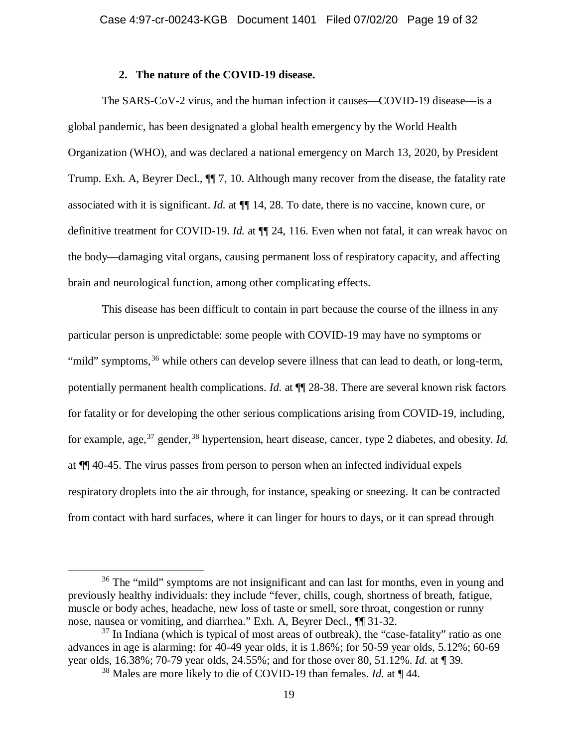#### **2. The nature of the COVID-19 disease.**

The SARS-CoV-2 virus, and the human infection it causes—COVID-19 disease—is a global pandemic, has been designated a global health emergency by the World Health Organization (WHO), and was declared a national emergency on March 13, 2020, by President Trump. Exh. A, Beyrer Decl., ¶¶ 7, 10. Although many recover from the disease, the fatality rate associated with it is significant. *Id.* at ¶¶ 14, 28. To date, there is no vaccine, known cure, or definitive treatment for COVID-19. *Id.* at  $\P$  24, 116. Even when not fatal, it can wreak havoc on the body—damaging vital organs, causing permanent loss of respiratory capacity, and affecting brain and neurological function, among other complicating effects.

This disease has been difficult to contain in part because the course of the illness in any particular person is unpredictable: some people with COVID-19 may have no symptoms or "mild" symptoms,<sup>[36](#page-18-0)</sup> while others can develop severe illness that can lead to death, or long-term, potentially permanent health complications. *Id.* at  $\P$  28-38. There are several known risk factors for fatality or for developing the other serious complications arising from COVID-19, including, for example, age,<sup>[37](#page-18-1)</sup> gender,<sup>[38](#page-18-2)</sup> hypertension, heart disease, cancer, type 2 diabetes, and obesity. *Id.* at ¶¶ 40-45. The virus passes from person to person when an infected individual expels respiratory droplets into the air through, for instance, speaking or sneezing. It can be contracted from contact with hard surfaces, where it can linger for hours to days, or it can spread through

<span id="page-18-0"></span><sup>&</sup>lt;sup>36</sup> The "mild" symptoms are not insignificant and can last for months, even in young and previously healthy individuals: they include "fever, chills, cough, shortness of breath, fatigue, muscle or body aches, headache, new loss of taste or smell, sore throat, congestion or runny nose, nausea or vomiting, and diarrhea." Exh. A, Beyrer Decl., ¶¶ 31-32.

<span id="page-18-2"></span><span id="page-18-1"></span> $37$  In Indiana (which is typical of most areas of outbreak), the "case-fatality" ratio as one advances in age is alarming: for 40-49 year olds, it is 1.86%; for 50-59 year olds, 5.12%; 60-69 year olds, 16.38%; 70-79 year olds, 24.55%; and for those over 80, 51.12%. *Id.* at ¶ 39.

<sup>38</sup> Males are more likely to die of COVID-19 than females. *Id.* at ¶ 44.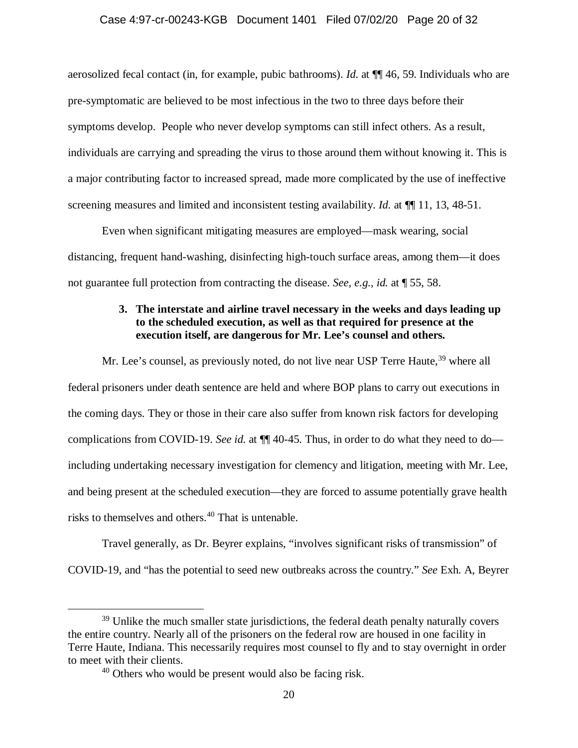#### Case 4:97-cr-00243-KGB Document 1401 Filed 07/02/20 Page 20 of 32

aerosolized fecal contact (in, for example, pubic bathrooms). *Id.* at ¶¶ 46, 59. Individuals who are pre-symptomatic are believed to be most infectious in the two to three days before their symptoms develop. People who never develop symptoms can still infect others. As a result, individuals are carrying and spreading the virus to those around them without knowing it. This is a major contributing factor to increased spread, made more complicated by the use of ineffective screening measures and limited and inconsistent testing availability. *Id.* at  $\P$  11, 13, 48-51.

Even when significant mitigating measures are employed—mask wearing, social distancing, frequent hand-washing, disinfecting high-touch surface areas, among them—it does not guarantee full protection from contracting the disease. *See, e.g., id.* at ¶ 55, 58.

# **3. The interstate and airline travel necessary in the weeks and days leading up to the scheduled execution, as well as that required for presence at the execution itself, are dangerous for Mr. Lee's counsel and others.**

Mr. Lee's counsel, as previously noted, do not live near USP Terre Haute,<sup>[39](#page-19-0)</sup> where all federal prisoners under death sentence are held and where BOP plans to carry out executions in the coming days. They or those in their care also suffer from known risk factors for developing complications from COVID-19. *See id.* at ¶¶ 40-45. Thus, in order to do what they need to do including undertaking necessary investigation for clemency and litigation, meeting with Mr. Lee, and being present at the scheduled execution—they are forced to assume potentially grave health risks to themselves and others. [40](#page-19-1) That is untenable.

Travel generally, as Dr. Beyrer explains, "involves significant risks of transmission" of COVID-19, and "has the potential to seed new outbreaks across the country." *See* Exh. A, Beyrer

<span id="page-19-1"></span><span id="page-19-0"></span><sup>&</sup>lt;sup>39</sup> Unlike the much smaller state jurisdictions, the federal death penalty naturally covers the entire country. Nearly all of the prisoners on the federal row are housed in one facility in Terre Haute, Indiana. This necessarily requires most counsel to fly and to stay overnight in order to meet with their clients.

<sup>40</sup> Others who would be present would also be facing risk.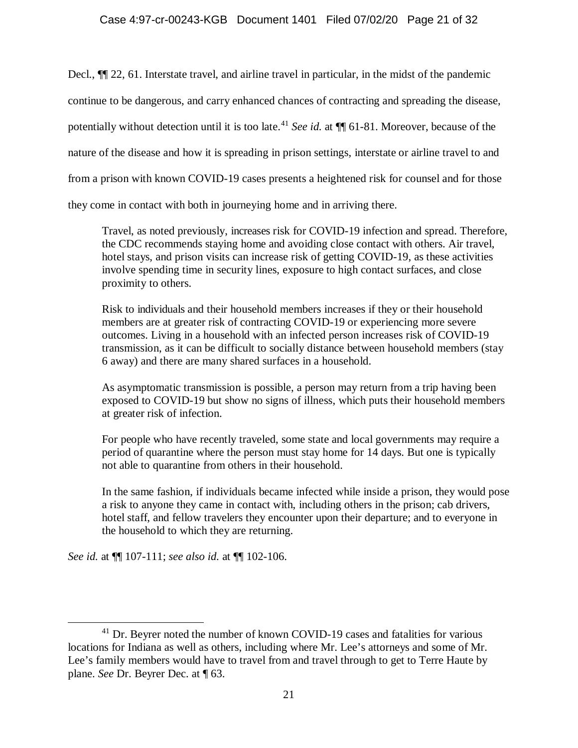## Case 4:97-cr-00243-KGB Document 1401 Filed 07/02/20 Page 21 of 32

Decl., ¶¶ 22, 61. Interstate travel, and airline travel in particular, in the midst of the pandemic continue to be dangerous, and carry enhanced chances of contracting and spreading the disease, potentially without detection until it is too late.<sup>[41](#page-20-0)</sup> *See id.* at  $\P$  61-81. Moreover, because of the nature of the disease and how it is spreading in prison settings, interstate or airline travel to and from a prison with known COVID-19 cases presents a heightened risk for counsel and for those they come in contact with both in journeying home and in arriving there.

Travel, as noted previously, increases risk for COVID-19 infection and spread. Therefore, the CDC recommends staying home and avoiding close contact with others. Air travel, hotel stays, and prison visits can increase risk of getting COVID-19, as these activities involve spending time in security lines, exposure to high contact surfaces, and close proximity to others.

Risk to individuals and their household members increases if they or their household members are at greater risk of contracting COVID-19 or experiencing more severe outcomes. Living in a household with an infected person increases risk of COVID-19 transmission, as it can be difficult to socially distance between household members (stay 6 away) and there are many shared surfaces in a household.

As asymptomatic transmission is possible, a person may return from a trip having been exposed to COVID-19 but show no signs of illness, which puts their household members at greater risk of infection.

For people who have recently traveled, some state and local governments may require a period of quarantine where the person must stay home for 14 days. But one is typically not able to quarantine from others in their household.

In the same fashion, if individuals became infected while inside a prison, they would pose a risk to anyone they came in contact with, including others in the prison; cab drivers, hotel staff, and fellow travelers they encounter upon their departure; and to everyone in the household to which they are returning.

*See id.* at ¶¶ 107-111; *see also id.* at ¶¶ 102-106.

<span id="page-20-0"></span> $41$  Dr. Beyrer noted the number of known COVID-19 cases and fatalities for various locations for Indiana as well as others, including where Mr. Lee's attorneys and some of Mr. Lee's family members would have to travel from and travel through to get to Terre Haute by plane. *See* Dr. Beyrer Dec. at ¶ 63.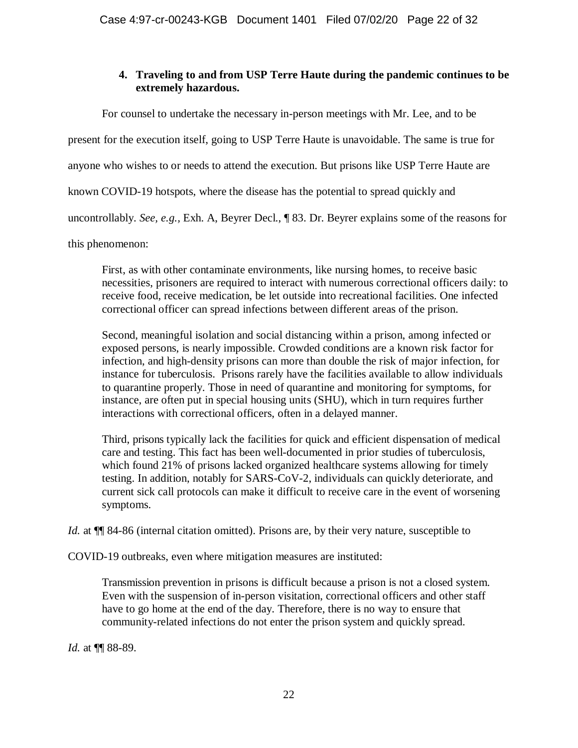# **4. Traveling to and from USP Terre Haute during the pandemic continues to be extremely hazardous.**

For counsel to undertake the necessary in-person meetings with Mr. Lee, and to be present for the execution itself, going to USP Terre Haute is unavoidable. The same is true for anyone who wishes to or needs to attend the execution. But prisons like USP Terre Haute are known COVID-19 hotspots, where the disease has the potential to spread quickly and uncontrollably. *See, e.g.,* Exh. A, Beyrer Decl., ¶ 83. Dr. Beyrer explains some of the reasons for this phenomenon:

First, as with other contaminate environments, like nursing homes, to receive basic necessities, prisoners are required to interact with numerous correctional officers daily: to receive food, receive medication, be let outside into recreational facilities. One infected correctional officer can spread infections between different areas of the prison.

Second, meaningful isolation and social distancing within a prison, among infected or exposed persons, is nearly impossible. Crowded conditions are a known risk factor for infection, and high-density prisons can more than double the risk of major infection, for instance for tuberculosis. Prisons rarely have the facilities available to allow individuals to quarantine properly. Those in need of quarantine and monitoring for symptoms, for instance, are often put in special housing units (SHU), which in turn requires further interactions with correctional officers, often in a delayed manner.

Third, prisons typically lack the facilities for quick and efficient dispensation of medical care and testing. This fact has been well-documented in prior studies of tuberculosis, which found 21% of prisons lacked organized healthcare systems allowing for timely testing. In addition, notably for SARS-CoV-2, individuals can quickly deteriorate, and current sick call protocols can make it difficult to receive care in the event of worsening symptoms.

*Id.* at  $\P$  84-86 (internal citation omitted). Prisons are, by their very nature, susceptible to

COVID-19 outbreaks, even where mitigation measures are instituted:

Transmission prevention in prisons is difficult because a prison is not a closed system. Even with the suspension of in-person visitation, correctional officers and other staff have to go home at the end of the day. Therefore, there is no way to ensure that community-related infections do not enter the prison system and quickly spread.

*Id.* at ¶¶ 88-89.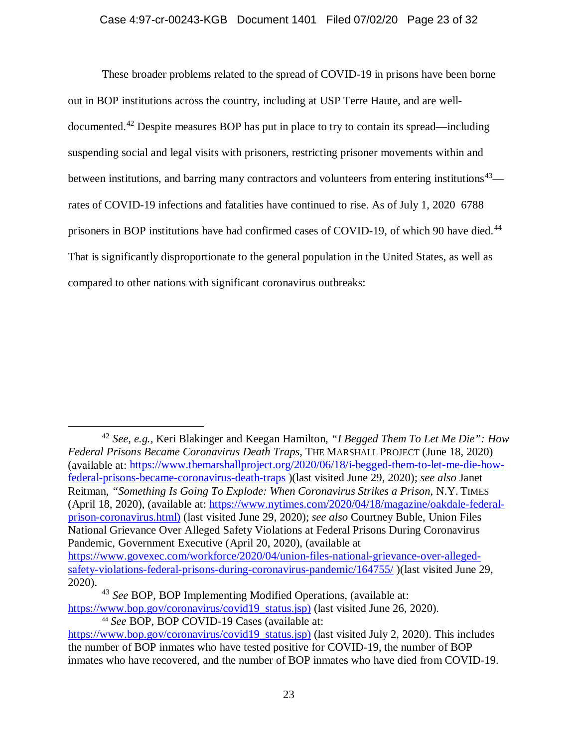### Case 4:97-cr-00243-KGB Document 1401 Filed 07/02/20 Page 23 of 32

These broader problems related to the spread of COVID-19 in prisons have been borne out in BOP institutions across the country, including at USP Terre Haute, and are welldocumented.[42](#page-22-0) Despite measures BOP has put in place to try to contain its spread—including suspending social and legal visits with prisoners, restricting prisoner movements within and between institutions, and barring many contractors and volunteers from entering institutions<sup>[43](#page-22-1)</sup> rates of COVID-19 infections and fatalities have continued to rise. As of July 1, 2020 6788 prisoners in BOP institutions have had confirmed cases of COVID-19, of which 90 have died.<sup>[44](#page-22-2)</sup> That is significantly disproportionate to the general population in the United States, as well as compared to other nations with significant coronavirus outbreaks:

<span id="page-22-0"></span> <sup>42</sup> *See, e.g.,* Keri Blakinger and Keegan Hamilton, *"I Begged Them To Let Me Die": How Federal Prisons Became Coronavirus Death Traps*, THE MARSHALL PROJECT (June 18, 2020) (available at: [https://www.themarshallproject.org/2020/06/18/i-begged-them-to-let-me-die-how](https://www.themarshallproject.org/2020/06/18/i-begged-them-to-let-me-die-how-federal-prisons-became-coronavirus-death-traps)[federal-prisons-became-coronavirus-death-traps](https://www.themarshallproject.org/2020/06/18/i-begged-them-to-let-me-die-how-federal-prisons-became-coronavirus-death-traps) )(last visited June 29, 2020); *see also* Janet Reitman, *"Something Is Going To Explode: When Coronavirus Strikes a Prison*, N.Y. TIMES (April 18, 2020), (available at: [https://www.nytimes.com/2020/04/18/magazine/oakdale-federal](https://www.nytimes.com/2020/04/18/magazine/oakdale-federal-prison-coronavirus.html)[prison-coronavirus.html\)](https://www.nytimes.com/2020/04/18/magazine/oakdale-federal-prison-coronavirus.html) (last visited June 29, 2020); *see also* Courtney Buble, Union Files National Grievance Over Alleged Safety Violations at Federal Prisons During Coronavirus Pandemic, Government Executive (April 20, 2020), (available at [https://www.govexec.com/workforce/2020/04/union-files-national-grievance-over-alleged](https://www.govexec.com/workforce/2020/04/union-files-national-grievance-over-alleged-safety-violations-federal-prisons-during-coronavirus-pandemic/164755/)[safety-violations-federal-prisons-during-coronavirus-pandemic/164755/](https://www.govexec.com/workforce/2020/04/union-files-national-grievance-over-alleged-safety-violations-federal-prisons-during-coronavirus-pandemic/164755/) )(last visited June 29, 2020).

<span id="page-22-1"></span><sup>43</sup> *See* BOP, BOP Implementing Modified Operations, (available at: [https://www.bop.gov/coronavirus/covid19\\_status.jsp\)](https://www.bop.gov/coronavirus/covid19_status.jsp) (last visited June 26, 2020).

<sup>44</sup> *See* BOP, BOP COVID-19 Cases (available at:

<span id="page-22-2"></span>[https://www.bop.gov/coronavirus/covid19\\_status.jsp\)](https://www.bop.gov/coronavirus/covid19_status.jsp) (last visited July 2, 2020). This includes the number of BOP inmates who have tested positive for COVID-19, the number of BOP inmates who have recovered, and the number of BOP inmates who have died from COVID-19.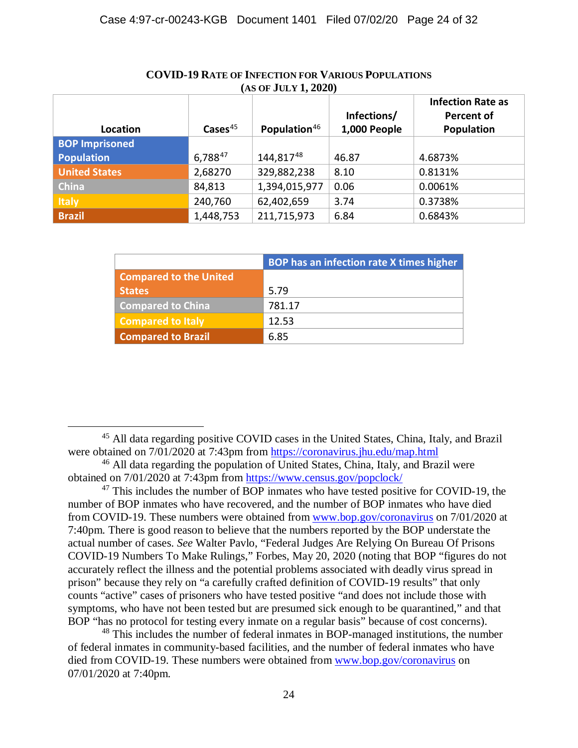| Location              | $\text{Case} \mathsf{s}^{45}$ | Population <sup>46</sup> | Infections/<br>1,000 People | <b>Infection Rate as</b><br><b>Percent of</b><br><b>Population</b> |
|-----------------------|-------------------------------|--------------------------|-----------------------------|--------------------------------------------------------------------|
| <b>BOP Imprisoned</b> |                               |                          |                             |                                                                    |
| <b>Population</b>     | $6,788^{47}$                  | 144,81748                | 46.87                       | 4.6873%                                                            |
| <b>United States</b>  | 2,68270                       | 329,882,238              | 8.10                        | 0.8131%                                                            |
| <b>China</b>          | 84,813                        | 1,394,015,977            | 0.06                        | 0.0061%                                                            |
| <b>Italy</b>          | 240,760                       | 62,402,659               | 3.74                        | 0.3738%                                                            |
| <b>Brazil</b>         | 1,448,753                     | 211,715,973              | 6.84                        | 0.6843%                                                            |

## **COVID-19 RATE OF INFECTION FOR VARIOUS POPULATIONS (AS OF JULY 1, 2020)**

|                               | BOP has an infection rate X times higher |
|-------------------------------|------------------------------------------|
| <b>Compared to the United</b> |                                          |
| <b>States</b>                 | 5.79                                     |
| Compared to China             | 781.17                                   |
| <b>Compared to Italy</b>      | 12.53                                    |
| <b>Compared to Brazil</b>     | 6.85                                     |

<span id="page-23-3"></span> $48$  This includes the number of federal inmates in BOP-managed institutions, the number of federal inmates in community-based facilities, and the number of federal inmates who have died from COVID-19. These numbers were obtained from [www.bop.gov/coronavirus](http://www.bop.gov/coronavirus) on 07/01/2020 at 7:40pm.

<span id="page-23-0"></span> <sup>45</sup> All data regarding positive COVID cases in the United States, China, Italy, and Brazil were obtained on 7/01/2020 at 7:43pm from<https://coronavirus.jhu.edu/map.html>

<span id="page-23-1"></span><sup>46</sup> All data regarding the population of United States, China, Italy, and Brazil were obtained on 7/01/2020 at 7:43pm from<https://www.census.gov/popclock/>

<span id="page-23-2"></span><sup>&</sup>lt;sup>47</sup> This includes the number of BOP inmates who have tested positive for COVID-19, the number of BOP inmates who have recovered, and the number of BOP inmates who have died from COVID-19. These numbers were obtained from [www.bop.gov/coronavirus](http://www.bop.gov/coronavirus) on 7/01/2020 at 7:40pm. There is good reason to believe that the numbers reported by the BOP understate the actual number of cases. *See* Walter Pavlo, "Federal Judges Are Relying On Bureau Of Prisons COVID-19 Numbers To Make Rulings," Forbes, May 20, 2020 (noting that BOP "figures do not accurately reflect the illness and the potential problems associated with deadly virus spread in prison" because they rely on "a carefully crafted definition of COVID-19 results" that only counts "active" cases of prisoners who have tested positive "and does not include those with symptoms, who have not been tested but are presumed sick enough to be quarantined," and that BOP "has no protocol for testing every inmate on a regular basis" because of cost concerns).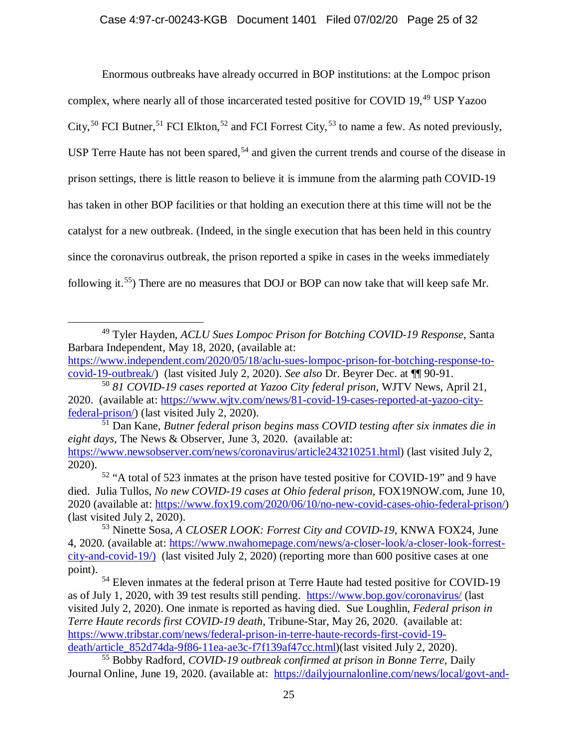Enormous outbreaks have already occurred in BOP institutions: at the Lompoc prison complex, where nearly all of those incarcerated tested positive for COVID 19, [49](#page-24-0) USP Yazoo City,<sup>[50](#page-24-1)</sup> FCI Butner,<sup>[51](#page-24-2)</sup> FCI Elkton,<sup>[52](#page-24-3)</sup> and FCI Forrest City,<sup>[53](#page-24-4)</sup> to name a few. As noted previously, USP Terre Haute has not been spared,<sup>[54](#page-24-5)</sup> and given the current trends and course of the disease in prison settings, there is little reason to believe it is immune from the alarming path COVID-19 has taken in other BOP facilities or that holding an execution there at this time will not be the catalyst for a new outbreak. (Indeed, in the single execution that has been held in this country since the coronavirus outbreak, the prison reported a spike in cases in the weeks immediately following it.[55\)](#page-24-6) There are no measures that DOJ or BOP can now take that will keep safe Mr.

<span id="page-24-0"></span> <sup>49</sup> Tyler Hayden, *ACLU Sues Lompoc Prison for Botching COVID-19 Response*, Santa Barbara Independent, May 18, 2020, (available at:

[https://www.independent.com/2020/05/18/aclu-sues-lompoc-prison-for-botching-response-to](https://www.independent.com/2020/05/18/aclu-sues-lompoc-prison-for-botching-response-to-covid-19-outbreak/)[covid-19-outbreak/\)](https://www.independent.com/2020/05/18/aclu-sues-lompoc-prison-for-botching-response-to-covid-19-outbreak/) (last visited July 2, 2020). *See also* Dr. Beyrer Dec. at ¶¶ 90-91.

<span id="page-24-1"></span><sup>50</sup> *81 COVID-19 cases reported at Yazoo City federal prison*, WJTV News, April 21, 2020. (available at: [https://www.wjtv.com/news/81-covid-19-cases-reported-at-yazoo-city](https://www.wjtv.com/news/81-covid-19-cases-reported-at-yazoo-city-federal-prison/)[federal-prison/\)](https://www.wjtv.com/news/81-covid-19-cases-reported-at-yazoo-city-federal-prison/) (last visited July 2, 2020).

<span id="page-24-2"></span><sup>51</sup> Dan Kane, *Butner federal prison begins mass COVID testing after six inmates die in eight days*, The News & Observer, June 3, 2020. (available at: [https://www.newsobserver.com/news/coronavirus/article243210251.html\)](https://www.newsobserver.com/news/coronavirus/article243210251.html) (last visited July 2, 2020).

<span id="page-24-3"></span><sup>&</sup>lt;sup>52</sup> "A total of 523 inmates at the prison have tested positive for COVID-19" and 9 have died. Julia Tullos, *No new COVID-19 cases at Ohio federal prison*, FOX19NOW.com, June 10, 2020 (available at: [https://www.fox19.com/2020/06/10/no-new-covid-cases-ohio-federal-prison/\)](https://www.fox19.com/2020/06/10/no-new-covid-cases-ohio-federal-prison/) (last visited July 2, 2020).

<span id="page-24-4"></span><sup>53</sup> Ninette Sosa, *A CLOSER LOOK: Forrest City and COVID-19*, KNWA FOX24, June 4, 2020. (available at: [https://www.nwahomepage.com/news/a-closer-look/a-closer-look-forrest](https://www.nwahomepage.com/news/a-closer-look/a-closer-look-forrest-city-and-covid-19/)[city-and-covid-19/\)](https://www.nwahomepage.com/news/a-closer-look/a-closer-look-forrest-city-and-covid-19/) (last visited July 2, 2020) (reporting more than 600 positive cases at one point).

<span id="page-24-5"></span><sup>&</sup>lt;sup>54</sup> Eleven inmates at the federal prison at Terre Haute had tested positive for COVID-19 as of July 1, 2020, with 39 test results still pending. <https://www.bop.gov/coronavirus/> (last visited July 2, 2020). One inmate is reported as having died. Sue Loughlin, *Federal prison in Terre Haute records first COVID-19 death*, Tribune-Star, May 26, 2020. (available at: [https://www.tribstar.com/news/federal-prison-in-terre-haute-records-first-covid-19](https://www.tribstar.com/news/federal-prison-in-terre-haute-records-first-covid-19-death/article_852d74da-9f86-11ea-ae3c-f7f139af47cc.html) [death/article\\_852d74da-9f86-11ea-ae3c-f7f139af47cc.html\)](https://www.tribstar.com/news/federal-prison-in-terre-haute-records-first-covid-19-death/article_852d74da-9f86-11ea-ae3c-f7f139af47cc.html)(last visited July 2, 2020).

<span id="page-24-6"></span><sup>55</sup> Bobby Radford, *COVID-19 outbreak confirmed at prison in Bonne Terre,* Daily Journal Online, June 19, 2020. (available at: [https://dailyjournalonline.com/news/local/govt-and-](https://dailyjournalonline.com/news/local/govt-and-politics/covid-19-outbreak-confirmed-at-prison-in-bonne-terre/article_c7222072-e242-513d-871a-c63a9c30cfbc.html)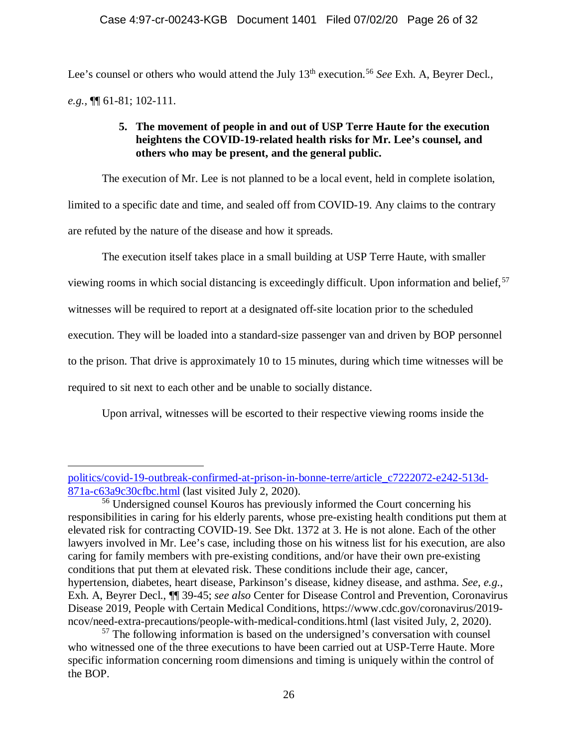Lee's counsel or others who would attend the July 13<sup>th</sup> execution.<sup>[56](#page-25-0)</sup> See Exh. A, Beyrer Decl., *e.g.,* ¶¶ 61-81; 102-111.

# **5. The movement of people in and out of USP Terre Haute for the execution heightens the COVID-19-related health risks for Mr. Lee's counsel, and others who may be present, and the general public.**

The execution of Mr. Lee is not planned to be a local event, held in complete isolation, limited to a specific date and time, and sealed off from COVID-19. Any claims to the contrary are refuted by the nature of the disease and how it spreads.

The execution itself takes place in a small building at USP Terre Haute, with smaller viewing rooms in which social distancing is exceedingly difficult. Upon information and belief, [57](#page-25-1) witnesses will be required to report at a designated off-site location prior to the scheduled execution. They will be loaded into a standard-size passenger van and driven by BOP personnel to the prison. That drive is approximately 10 to 15 minutes, during which time witnesses will be required to sit next to each other and be unable to socially distance.

Upon arrival, witnesses will be escorted to their respective viewing rooms inside the

 $\overline{a}$ 

[politics/covid-19-outbreak-confirmed-at-prison-in-bonne-terre/article\\_c7222072-e242-513d-](https://dailyjournalonline.com/news/local/govt-and-politics/covid-19-outbreak-confirmed-at-prison-in-bonne-terre/article_c7222072-e242-513d-871a-c63a9c30cfbc.html)[871a-c63a9c30cfbc.html](https://dailyjournalonline.com/news/local/govt-and-politics/covid-19-outbreak-confirmed-at-prison-in-bonne-terre/article_c7222072-e242-513d-871a-c63a9c30cfbc.html) (last visited July 2, 2020).

<span id="page-25-0"></span><sup>56</sup> Undersigned counsel Kouros has previously informed the Court concerning his responsibilities in caring for his elderly parents, whose pre-existing health conditions put them at elevated risk for contracting COVID-19. See Dkt. 1372 at 3. He is not alone. Each of the other lawyers involved in Mr. Lee's case, including those on his witness list for his execution, are also caring for family members with pre-existing conditions, and/or have their own pre-existing conditions that put them at elevated risk. These conditions include their age, cancer, hypertension, diabetes, heart disease, Parkinson's disease, kidney disease, and asthma. *See*, *e.g*., Exh. A, Beyrer Decl., ¶¶ 39-45; *see also* Center for Disease Control and Prevention, Coronavirus Disease 2019, People with Certain Medical Conditions, https://www.cdc.gov/coronavirus/2019 ncov/need-extra-precautions/people-with-medical-conditions.html (last visited July, 2, 2020).

<span id="page-25-1"></span> $57$  The following information is based on the undersigned's conversation with counsel who witnessed one of the three executions to have been carried out at USP-Terre Haute. More specific information concerning room dimensions and timing is uniquely within the control of the BOP.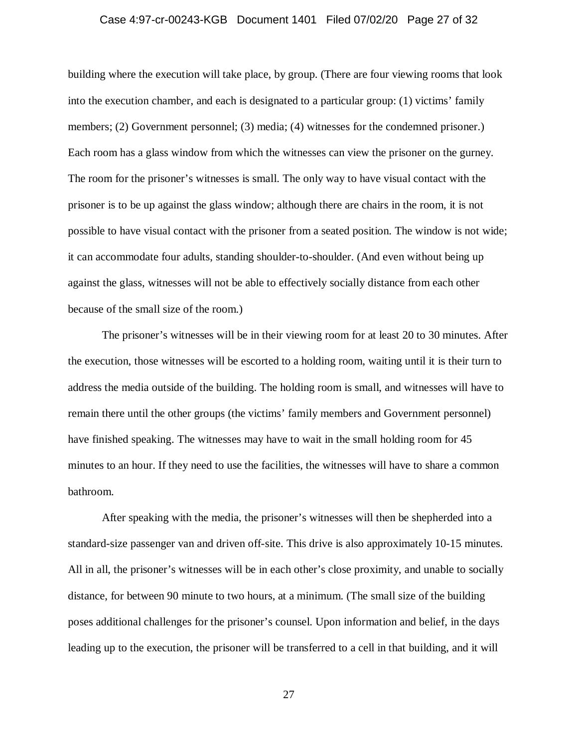#### Case 4:97-cr-00243-KGB Document 1401 Filed 07/02/20 Page 27 of 32

building where the execution will take place, by group. (There are four viewing rooms that look into the execution chamber, and each is designated to a particular group: (1) victims' family members; (2) Government personnel; (3) media; (4) witnesses for the condemned prisoner.) Each room has a glass window from which the witnesses can view the prisoner on the gurney. The room for the prisoner's witnesses is small. The only way to have visual contact with the prisoner is to be up against the glass window; although there are chairs in the room, it is not possible to have visual contact with the prisoner from a seated position. The window is not wide; it can accommodate four adults, standing shoulder-to-shoulder. (And even without being up against the glass, witnesses will not be able to effectively socially distance from each other because of the small size of the room.)

The prisoner's witnesses will be in their viewing room for at least 20 to 30 minutes. After the execution, those witnesses will be escorted to a holding room, waiting until it is their turn to address the media outside of the building. The holding room is small, and witnesses will have to remain there until the other groups (the victims' family members and Government personnel) have finished speaking. The witnesses may have to wait in the small holding room for 45 minutes to an hour. If they need to use the facilities, the witnesses will have to share a common bathroom.

After speaking with the media, the prisoner's witnesses will then be shepherded into a standard-size passenger van and driven off-site. This drive is also approximately 10-15 minutes. All in all, the prisoner's witnesses will be in each other's close proximity, and unable to socially distance, for between 90 minute to two hours, at a minimum. (The small size of the building poses additional challenges for the prisoner's counsel. Upon information and belief, in the days leading up to the execution, the prisoner will be transferred to a cell in that building, and it will

27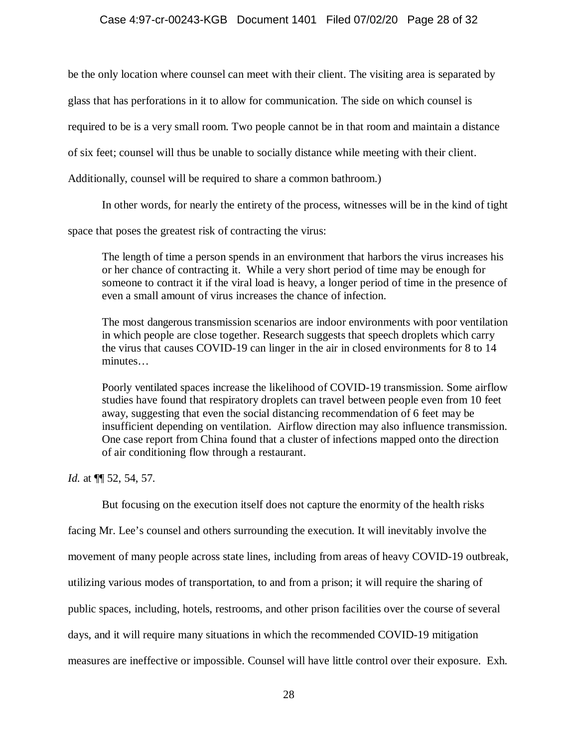### Case 4:97-cr-00243-KGB Document 1401 Filed 07/02/20 Page 28 of 32

be the only location where counsel can meet with their client. The visiting area is separated by

glass that has perforations in it to allow for communication. The side on which counsel is

required to be is a very small room. Two people cannot be in that room and maintain a distance

of six feet; counsel will thus be unable to socially distance while meeting with their client.

Additionally, counsel will be required to share a common bathroom.)

In other words, for nearly the entirety of the process, witnesses will be in the kind of tight

space that poses the greatest risk of contracting the virus:

The length of time a person spends in an environment that harbors the virus increases his or her chance of contracting it. While a very short period of time may be enough for someone to contract it if the viral load is heavy, a longer period of time in the presence of even a small amount of virus increases the chance of infection.

The most dangerous transmission scenarios are indoor environments with poor ventilation in which people are close together. Research suggests that speech droplets which carry the virus that causes COVID-19 can linger in the air in closed environments for 8 to 14 minutes…

Poorly ventilated spaces increase the likelihood of COVID-19 transmission. Some airflow studies have found that respiratory droplets can travel between people even from 10 feet away, suggesting that even the social distancing recommendation of 6 feet may be insufficient depending on ventilation. Airflow direction may also influence transmission. One case report from China found that a cluster of infections mapped onto the direction of air conditioning flow through a restaurant.

### *Id.* at ¶¶ 52, 54, 57.

But focusing on the execution itself does not capture the enormity of the health risks facing Mr. Lee's counsel and others surrounding the execution. It will inevitably involve the movement of many people across state lines, including from areas of heavy COVID-19 outbreak, utilizing various modes of transportation, to and from a prison; it will require the sharing of public spaces, including, hotels, restrooms, and other prison facilities over the course of several days, and it will require many situations in which the recommended COVID-19 mitigation measures are ineffective or impossible. Counsel will have little control over their exposure. Exh.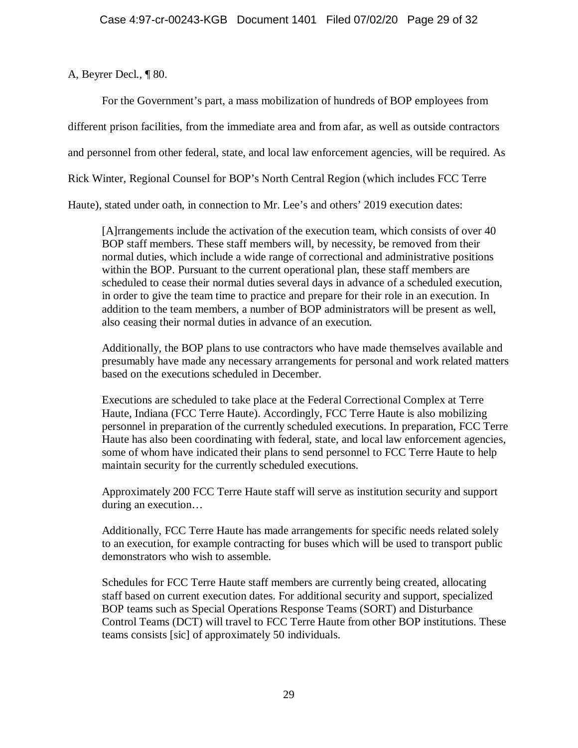A, Beyrer Decl., ¶ 80.

For the Government's part, a mass mobilization of hundreds of BOP employees from different prison facilities, from the immediate area and from afar, as well as outside contractors and personnel from other federal, state, and local law enforcement agencies, will be required. As Rick Winter, Regional Counsel for BOP's North Central Region (which includes FCC Terre Haute), stated under oath, in connection to Mr. Lee's and others' 2019 execution dates:

[A]rrangements include the activation of the execution team, which consists of over 40 BOP staff members. These staff members will, by necessity, be removed from their normal duties, which include a wide range of correctional and administrative positions within the BOP. Pursuant to the current operational plan, these staff members are scheduled to cease their normal duties several days in advance of a scheduled execution, in order to give the team time to practice and prepare for their role in an execution. In addition to the team members, a number of BOP administrators will be present as well, also ceasing their normal duties in advance of an execution.

Additionally, the BOP plans to use contractors who have made themselves available and presumably have made any necessary arrangements for personal and work related matters based on the executions scheduled in December.

Executions are scheduled to take place at the Federal Correctional Complex at Terre Haute, Indiana (FCC Terre Haute). Accordingly, FCC Terre Haute is also mobilizing personnel in preparation of the currently scheduled executions. In preparation, FCC Terre Haute has also been coordinating with federal, state, and local law enforcement agencies, some of whom have indicated their plans to send personnel to FCC Terre Haute to help maintain security for the currently scheduled executions.

Approximately 200 FCC Terre Haute staff will serve as institution security and support during an execution…

Additionally, FCC Terre Haute has made arrangements for specific needs related solely to an execution, for example contracting for buses which will be used to transport public demonstrators who wish to assemble.

Schedules for FCC Terre Haute staff members are currently being created, allocating staff based on current execution dates. For additional security and support, specialized BOP teams such as Special Operations Response Teams (SORT) and Disturbance Control Teams (DCT) will travel to FCC Terre Haute from other BOP institutions. These teams consists [sic] of approximately 50 individuals.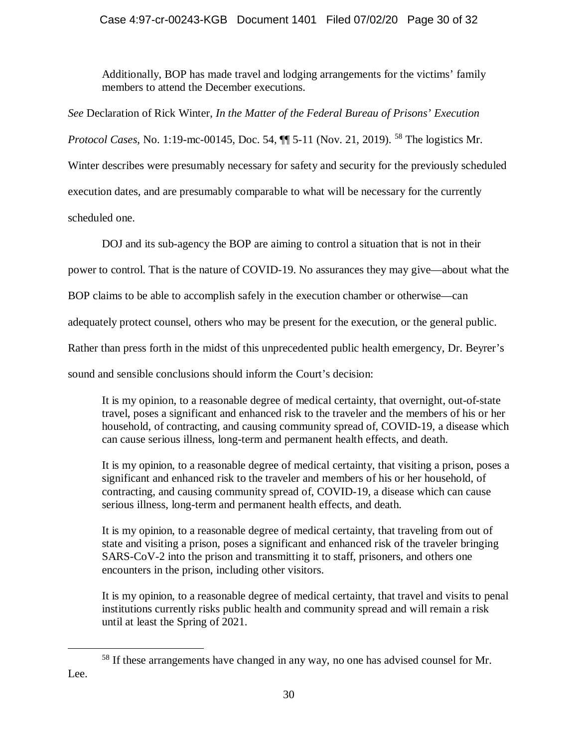Additionally, BOP has made travel and lodging arrangements for the victims' family members to attend the December executions.

*See* Declaration of Rick Winter, *In the Matter of the Federal Bureau of Prisons' Execution* 

*Protocol Cases*, No. 1:19-mc-00145, Doc. 54,  $\P$  5-11 (Nov. 21, 2019). <sup>[58](#page-29-0)</sup> The logistics Mr.

Winter describes were presumably necessary for safety and security for the previously scheduled

execution dates, and are presumably comparable to what will be necessary for the currently

scheduled one.

DOJ and its sub-agency the BOP are aiming to control a situation that is not in their

power to control. That is the nature of COVID-19. No assurances they may give—about what the

BOP claims to be able to accomplish safely in the execution chamber or otherwise—can

adequately protect counsel, others who may be present for the execution, or the general public.

Rather than press forth in the midst of this unprecedented public health emergency, Dr. Beyrer's

sound and sensible conclusions should inform the Court's decision:

It is my opinion, to a reasonable degree of medical certainty, that overnight, out-of-state travel, poses a significant and enhanced risk to the traveler and the members of his or her household, of contracting, and causing community spread of, COVID-19, a disease which can cause serious illness, long-term and permanent health effects, and death.

It is my opinion, to a reasonable degree of medical certainty, that visiting a prison, poses a significant and enhanced risk to the traveler and members of his or her household, of contracting, and causing community spread of, COVID-19, a disease which can cause serious illness, long-term and permanent health effects, and death.

It is my opinion, to a reasonable degree of medical certainty, that traveling from out of state and visiting a prison, poses a significant and enhanced risk of the traveler bringing SARS-CoV-2 into the prison and transmitting it to staff, prisoners, and others one encounters in the prison, including other visitors.

It is my opinion, to a reasonable degree of medical certainty, that travel and visits to penal institutions currently risks public health and community spread and will remain a risk until at least the Spring of 2021.

<span id="page-29-0"></span><sup>&</sup>lt;sup>58</sup> If these arrangements have changed in any way, no one has advised counsel for Mr. Lee.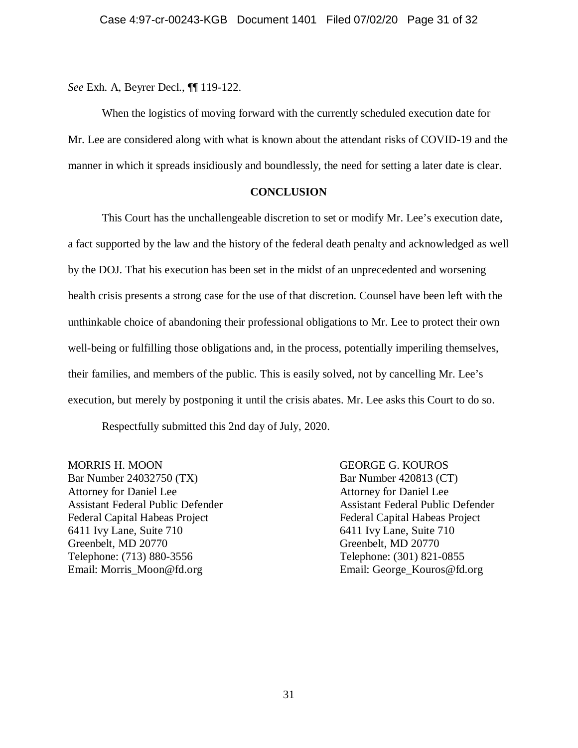*See* Exh. A, Beyrer Decl., ¶¶ 119-122.

When the logistics of moving forward with the currently scheduled execution date for Mr. Lee are considered along with what is known about the attendant risks of COVID-19 and the manner in which it spreads insidiously and boundlessly, the need for setting a later date is clear.

## **CONCLUSION**

This Court has the unchallengeable discretion to set or modify Mr. Lee's execution date, a fact supported by the law and the history of the federal death penalty and acknowledged as well by the DOJ. That his execution has been set in the midst of an unprecedented and worsening health crisis presents a strong case for the use of that discretion. Counsel have been left with the unthinkable choice of abandoning their professional obligations to Mr. Lee to protect their own well-being or fulfilling those obligations and, in the process, potentially imperiling themselves, their families, and members of the public. This is easily solved, not by cancelling Mr. Lee's execution, but merely by postponing it until the crisis abates. Mr. Lee asks this Court to do so.

Respectfully submitted this 2nd day of July, 2020.

MORRIS H. MOON GEORGE G. KOUROS Bar Number 24032750 (TX) Bar Number 420813 (CT) Attorney for Daniel Lee Attorney for Daniel Lee Assistant Federal Public Defender Assistant Federal Public Defender Federal Capital Habeas Project Federal Capital Habeas Project 6411 Ivy Lane, Suite 710 6411 Ivy Lane, Suite 710 Greenbelt, MD 20770 Greenbelt, MD 20770 Telephone: (713) 880-3556 Telephone: (301) 821-0855 Email: Morris\_Moon@fd.org Email: George\_Kouros@fd.org